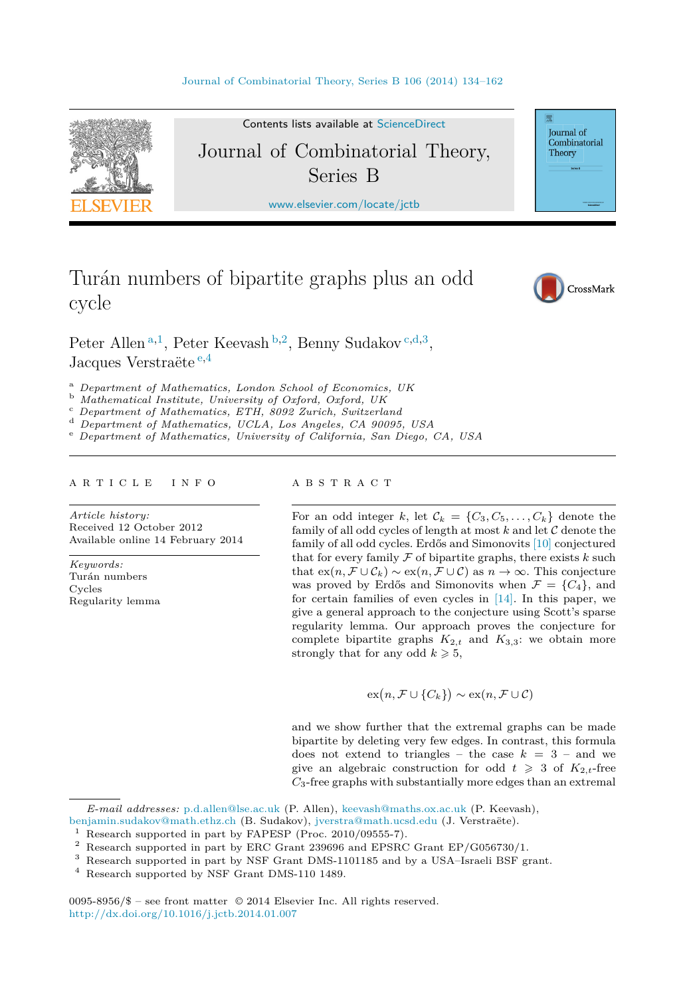

Contents lists available at [ScienceDirect](http://www.ScienceDirect.com/)

# Journal of Combinatorial Theory, Series B

[www.elsevier.com/locate/jctb](http://www.elsevier.com/locate/jctb)

Turán numbers of bipartite graphs plus an odd cycle



Journal of Combinatorial Theory

## Peter Allen <sup>a</sup>*,*<sup>1</sup>, Peter Keevash <sup>b</sup>*,*<sup>2</sup>, Benny Sudakov <sup>c</sup>*,*d*,*<sup>3</sup>, Jacques Verstraëte <sup>e</sup>*,*<sup>4</sup>

<sup>a</sup> Department of Mathematics, London School of Economics, UK<br>
<sup>b</sup> Mathematical Institute, University of Oxford, Oxford, UK<br>
<sup>c</sup> Department of Mathematics, ETH, 8092 Zurich, Switzerland<br>
<sup>d</sup> Department of Mathematics, UCL

#### article info abstract

*Article history:* Received 12 October 2012 Available online 14 February 2014

*Keywords:* Turán numbers Cycles Regularity lemma

For an odd integer *k*, let  $\mathcal{C}_k = \{C_3, C_5, \ldots, C_k\}$  denote the family of all odd cycles of length at most  $k$  and let  $C$  denote the family of all odd cycles. Erdős and Simonovits [\[10\]](#page-27-0) conjectured that for every family  $F$  of bipartite graphs, there exists  $k$  such that  $ex(n, \mathcal{F} \cup \mathcal{C}_k) \sim ex(n, \mathcal{F} \cup \mathcal{C})$  as  $n \to \infty$ . This conjecture was proved by Erdős and Simonovits when  $\mathcal{F} = \{C_4\}$ , and for certain families of even cycles in [\[14\].](#page-27-0) In this paper, we give a general approach to the conjecture using Scott's sparse regularity lemma. Our approach proves the conjecture for complete bipartite graphs  $K_{2,t}$  and  $K_{3,3}$ : we obtain more strongly that for any odd  $k \geqslant 5$ ,

$$
\mathrm{ex}\big(n,\mathcal{F}\cup\{C_k\}\big)\sim\mathrm{ex}(n,\mathcal{F}\cup\mathcal{C})
$$

and we show further that the extremal graphs can be made bipartite by deleting very few edges. In contrast, this formula does not extend to triangles – the case  $k = 3$  – and we give an algebraic construction for odd  $t \geq 3$  of  $K_{2,t}$ -free *C*3-free graphs with substantially more edges than an extremal

0095-8956/\$ – see front matter © 2014 Elsevier Inc. All rights reserved. <http://dx.doi.org/10.1016/j.jctb.2014.01.007>

*E-mail addresses:* [p.d.allen@lse.ac.uk](mailto:p.d.allen@lse.ac.uk) (P. Allen), [keevash@maths.ox.ac.uk](mailto:keevash@maths.ox.ac.uk) (P. Keevash),

[benjamin.sudakov@math.ethz.ch](mailto:benjamin.sudakov@math.ethz.ch) (B. Sudakov), [jverstra@math.ucsd.edu](mailto:jverstra@math.ucsd.edu) (J. Verstraëte).

 $1$  Research supported in part by FAPESP (Proc. 2010/09555-7).

 $2$  Research supported in part by ERC Grant 239696 and EPSRC Grant EP/G056730/1.

<sup>3</sup> Research supported in part by NSF Grant DMS-1101185 and by a USA–Israeli BSF grant.

<sup>4</sup> Research supported by NSF Grant DMS-110 1489.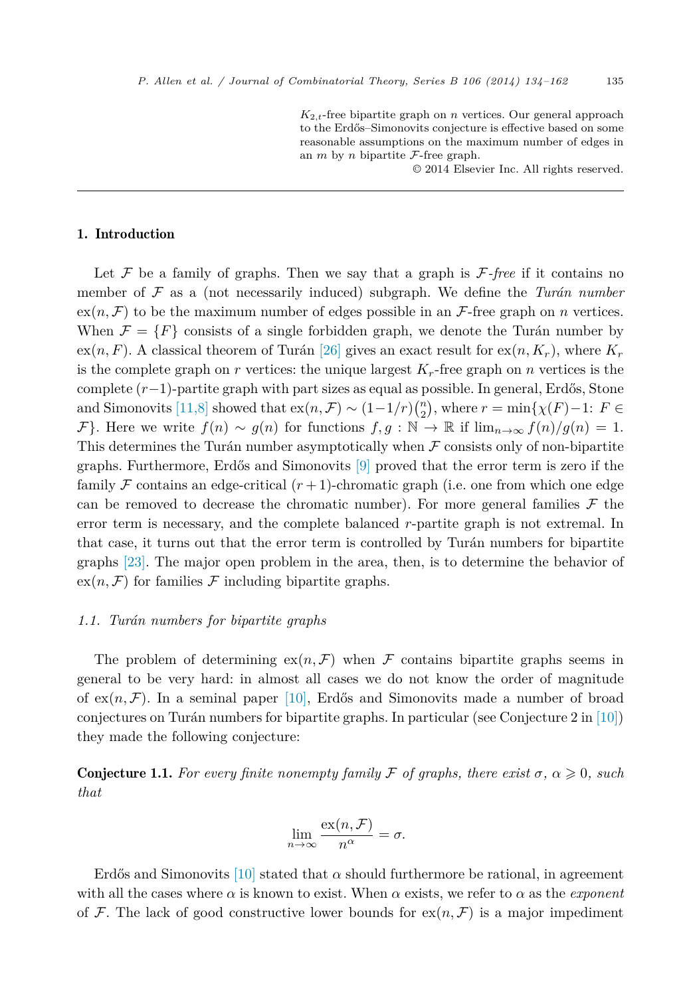$K_{2,t}$ -free bipartite graph on *n* vertices. Our general approach to the Erdős–Simonovits conjecture is effective based on some reasonable assumptions on the maximum number of edges in an  $m$  by  $n$  bipartite  $\mathcal{F}$ -free graph.

© 2014 Elsevier Inc. All rights reserved.

### <span id="page-1-0"></span>1. Introduction

Let  $\mathcal F$  be a family of graphs. Then we say that a graph is  $\mathcal F$ -free if it contains no member of F as a (not necessarily induced) subgraph. We define the *Turán number*  $ex(n, \mathcal{F})$  to be the maximum number of edges possible in an  $\mathcal{F}$ -free graph on *n* vertices. When  $\mathcal{F} = \{F\}$  consists of a single forbidden graph, we denote the Turán number by  $ex(n, F)$ . A classical theorem of Turán [\[26\]](#page-28-0) gives an exact result for  $ex(n, K_r)$ , where  $K_r$ is the complete graph on  $r$  vertices: the unique largest  $K_r$ -free graph on  $n$  vertices is the complete (*r*−1)-partite graph with part sizes as equal as possible. In general, Erdős, Stone and Simonovits [\[11,8\]](#page-27-0) showed that  $ex(n, \mathcal{F}) \sim (1-1/r) {n \choose 2}$ , where  $r = \min\{\chi(F) - 1: F \in$ *F*}. Here we write  $f(n) \sim g(n)$  for functions  $f, g : \mathbb{N} \to \mathbb{R}$  if  $\lim_{n\to\infty} f(n)/g(n) = 1$ . This determines the Turán number asymptotically when  $\mathcal F$  consists only of non-bipartite graphs. Furthermore, Erdős and Simonovits [\[9\]](#page-27-0) proved that the error term is zero if the family F contains an edge-critical  $(r+1)$ -chromatic graph (i.e. one from which one edge can be removed to decrease the chromatic number). For more general families  $\mathcal F$  the error term is necessary, and the complete balanced *r*-partite graph is not extremal. In that case, it turns out that the error term is controlled by Turán numbers for bipartite graphs [\[23\].](#page-28-0) The major open problem in the area, then, is to determine the behavior of  $ex(n, \mathcal{F})$  for families  $\mathcal F$  including bipartite graphs.

#### *1.1. Turán numbers for bipartite graphs*

The problem of determining  $ex(n, \mathcal{F})$  when  $\mathcal F$  contains bipartite graphs seems in general to be very hard: in almost all cases we do not know the order of magnitude of  $ex(n, \mathcal{F})$ . In a seminal paper [\[10\],](#page-27-0) Erdős and Simonovits made a number of broad conjectures on Turán numbers for bipartite graphs. In particular (see Conjecture 2 in [\[10\]\)](#page-27-0) they made the following conjecture:

**Conjecture 1.1.** For every finite nonempty family F of graphs, there exist  $\sigma$ ,  $\alpha \geq 0$ , such *that*

$$
\lim_{n \to \infty} \frac{\mathrm{ex}(n, \mathcal{F})}{n^{\alpha}} = \sigma.
$$

Erdős and Simonovits [\[10\]](#page-27-0) stated that  $\alpha$  should furthermore be rational, in agreement with all the cases where  $\alpha$  is known to exist. When  $\alpha$  exists, we refer to  $\alpha$  as the *exponent* of F. The lack of good constructive lower bounds for  $ex(n, \mathcal{F})$  is a major impediment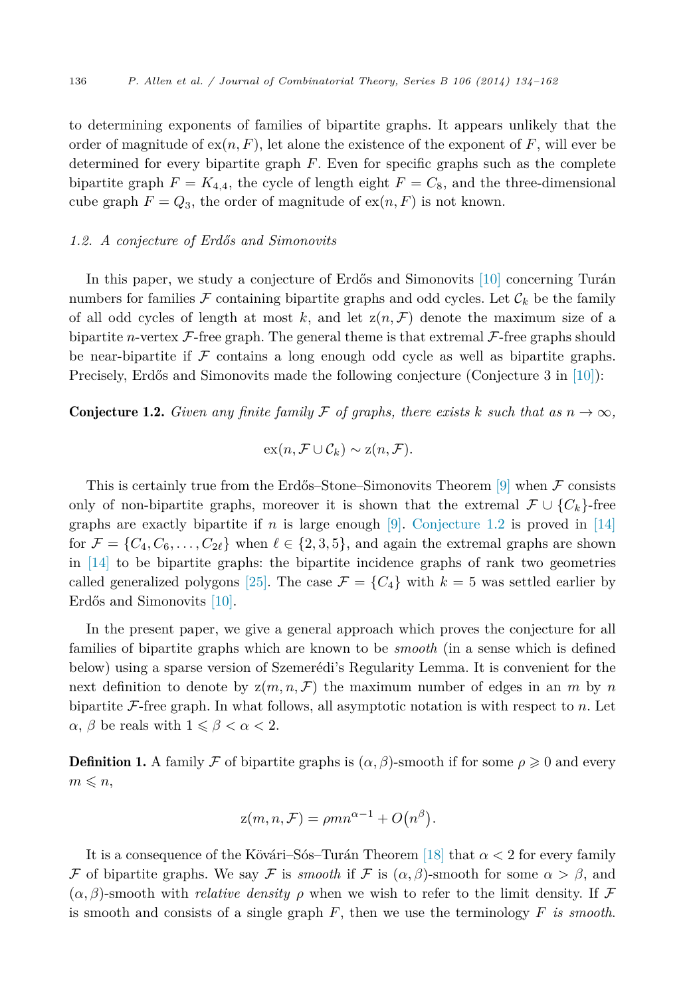<span id="page-2-0"></span>to determining exponents of families of bipartite graphs. It appears unlikely that the order of magnitude of  $ex(n, F)$ , let alone the existence of the exponent of  $F$ , will ever be determined for every bipartite graph *F*. Even for specific graphs such as the complete bipartite graph  $F = K_{4,4}$ , the cycle of length eight  $F = C_8$ , and the three-dimensional cube graph  $F = Q_3$ , the order of magnitude of  $ex(n, F)$  is not known.

#### *1.2. A conjecture of Erdős and Simonovits*

In this paper, we study a conjecture of Erdős and Simonovits [\[10\]](#page-27-0) concerning Turán numbers for families  $\mathcal F$  containing bipartite graphs and odd cycles. Let  $\mathcal C_k$  be the family of all odd cycles of length at most  $k$ , and let  $z(n, \mathcal{F})$  denote the maximum size of a bipartite *n*-vertex  $\mathcal{F}$ -free graph. The general theme is that extremal  $\mathcal{F}$ -free graphs should be near-bipartite if  $\mathcal F$  contains a long enough odd cycle as well as bipartite graphs. Precisely, Erdős and Simonovits made the following conjecture (Conjecture 3 in [\[10\]\)](#page-27-0):

**Conjecture 1.2.** *Given any finite family*  $\mathcal F$  *of graphs, there exists*  $k$  *such that as*  $n \to \infty$ *,* 

$$
\mathrm{ex}(n,\mathcal{F}\cup\mathcal{C}_k)\sim\mathrm{z}(n,\mathcal{F}).
$$

This is certainly true from the Erdős–Stone–Simonovits Theorem  $[9]$  when  $\mathcal F$  consists only of non-bipartite graphs, moreover it is shown that the extremal  $\mathcal{F}\cup\{C_k\}$ -free graphs are exactly bipartite if *n* is large enough  $[9]$ . Conjecture 1.2 is proved in [\[14\]](#page-27-0) for  $\mathcal{F} = \{C_4, C_6, \ldots, C_{2\ell}\}\$  when  $\ell \in \{2, 3, 5\}\$ , and again the extremal graphs are shown in [\[14\]](#page-27-0) to be bipartite graphs: the bipartite incidence graphs of rank two geometries called generalized polygons [\[25\].](#page-28-0) The case  $\mathcal{F} = \{C_4\}$  with  $k = 5$  was settled earlier by Erdős and Simonovits [\[10\].](#page-27-0)

In the present paper, we give a general approach which proves the conjecture for all families of bipartite graphs which are known to be *smooth* (in a sense which is defined below) using a sparse version of Szemerédi's Regularity Lemma. It is convenient for the next definition to denote by  $z(m, n, \mathcal{F})$  the maximum number of edges in an *m* by *n* bipartite F-free graph. In what follows, all asymptotic notation is with respect to *n*. Let *α*, *β* be reals with  $1 \leq \beta < \alpha < 2$ .

**Definition 1.** A family  $\mathcal F$  of bipartite graphs is  $(\alpha, \beta)$ -smooth if for some  $\rho \geq 0$  and every  $m \leqslant n$ ,

$$
z(m, n, \mathcal{F}) = \rho mn^{\alpha - 1} + O(n^{\beta}).
$$

It is a consequence of the Kövári–Sós–Turán Theorem [\[18\]](#page-27-0) that *α <* 2 for every family F of bipartite graphs. We say F is *smooth* if F is  $(\alpha, \beta)$ -smooth for some  $\alpha > \beta$ , and  $(\alpha, \beta)$ -smooth with *relative density*  $\rho$  when we wish to refer to the limit density. If F is smooth and consists of a single graph *F*, then we use the terminology *F is smooth*.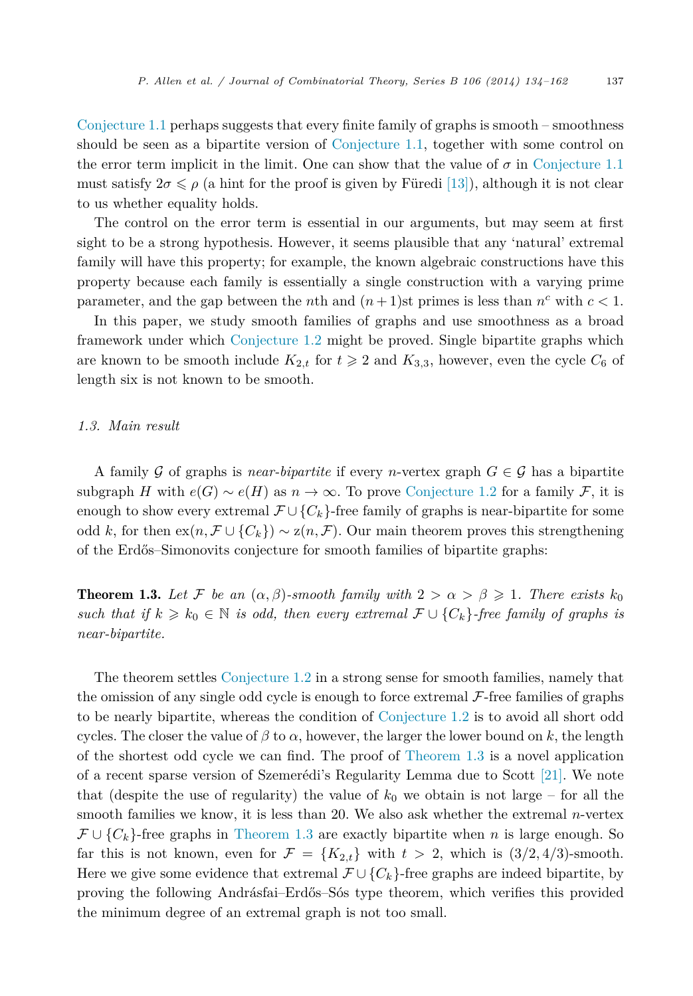<span id="page-3-0"></span>[Conjecture 1.1](#page-1-0) perhaps suggests that every finite family of graphs is smooth – smoothness should be seen as a bipartite version of [Conjecture 1.1,](#page-1-0) together with some control on the error term implicit in the limit. One can show that the value of  $\sigma$  in [Conjecture 1.1](#page-1-0) must satisfy  $2\sigma \leq \rho$  (a hint for the proof is given by Füredi [\[13\]\)](#page-27-0), although it is not clear to us whether equality holds.

The control on the error term is essential in our arguments, but may seem at first sight to be a strong hypothesis. However, it seems plausible that any 'natural' extremal family will have this property; for example, the known algebraic constructions have this property because each family is essentially a single construction with a varying prime parameter, and the gap between the *n*th and  $(n+1)$ st primes is less than  $n<sup>c</sup>$  with  $c < 1$ .

In this paper, we study smooth families of graphs and use smoothness as a broad framework under which [Conjecture 1.2](#page-2-0) might be proved. Single bipartite graphs which are known to be smooth include  $K_{2,t}$  for  $t \geq 2$  and  $K_{3,3}$ , however, even the cycle  $C_6$  of length six is not known to be smooth.

#### *1.3. Main result*

A family G of graphs is *near-bipartite* if every *n*-vertex graph  $G \in \mathcal{G}$  has a bipartite subgraph *H* with  $e(G) \sim e(H)$  as  $n \to \infty$ . To prove [Conjecture 1.2](#page-2-0) for a family *F*, it is enough to show every extremal  $\mathcal{F}\cup\{C_k\}$ -free family of graphs is near-bipartite for some odd *k*, for then  $ex(n, \mathcal{F} \cup \{C_k\}) \sim z(n, \mathcal{F})$ . Our main theorem proves this strengthening of the Erdős–Simonovits conjecture for smooth families of bipartite graphs:

**Theorem 1.3.** Let F be an  $(\alpha, \beta)$ -smooth family with  $2 > \alpha > \beta \geq 1$ . There exists  $k_0$ *such that if*  $k \geq k_0 \in \mathbb{N}$  *is odd, then every extremal*  $\mathcal{F} \cup \{C_k\}$ *-free family of graphs is near-bipartite.*

The theorem settles [Conjecture](#page-2-0) 1.2 in a strong sense for smooth families, namely that the omission of any single odd cycle is enough to force extremal  $\mathcal{F}\text{-}$  free families of graphs to be nearly bipartite, whereas the condition of [Conjecture 1.2](#page-2-0) is to avoid all short odd cycles. The closer the value of  $\beta$  to  $\alpha$ , however, the larger the lower bound on k, the length of the shortest odd cycle we can find. The proof of Theorem 1.3 is a novel application of a recent sparse version of Szemerédi's Regularity Lemma due to Scott [\[21\].](#page-27-0) We note that (despite the use of regularity) the value of  $k_0$  we obtain is not large – for all the smooth families we know, it is less than 20. We also ask whether the extremal *n*-vertex F∪{*Ck*}-free graphs in Theorem 1.3 are exactly bipartite when *n* is large enough. So far this is not known, even for  $\mathcal{F} = \{K_{2,t}\}\$  with  $t > 2$ , which is  $(3/2, 4/3)$ -smooth. Here we give some evidence that extremal  $\mathcal{F}\cup\{C_k\}$ -free graphs are indeed bipartite, by proving the following Andrásfai–Erdős–Sós type theorem, which verifies this provided the minimum degree of an extremal graph is not too small.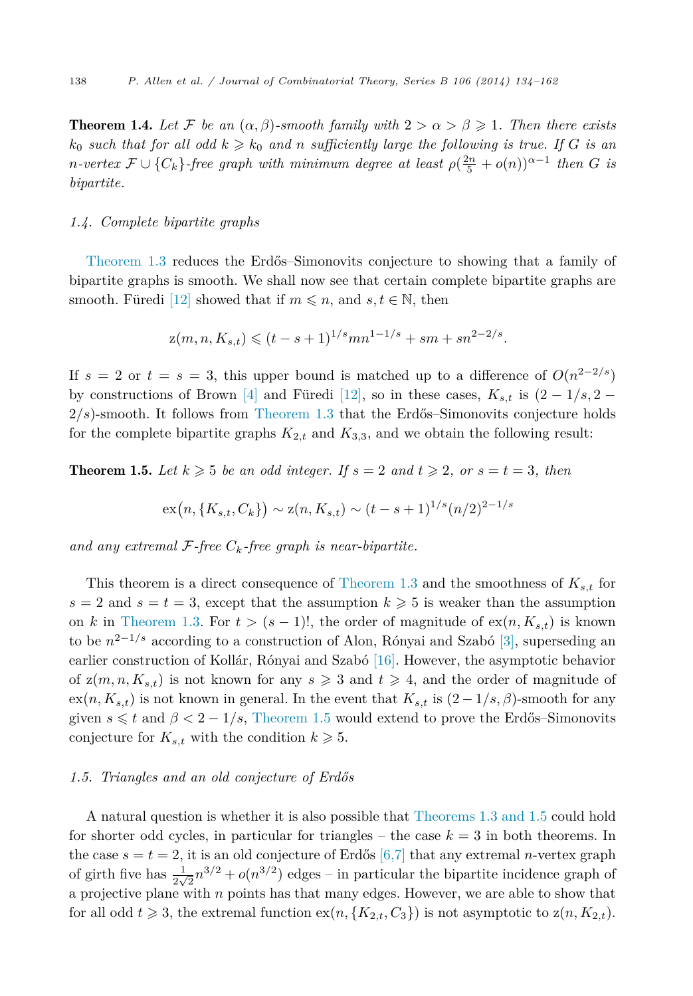<span id="page-4-0"></span>**Theorem 1.4.** Let  $\mathcal{F}$  be an  $(\alpha, \beta)$ -smooth family with  $2 > \alpha > \beta \geq 1$ . Then there exists  $k_0$  *such that for all odd*  $k \geqslant k_0$  *and n sufficiently large the following is true. If G is an n*-vertex  $\mathcal{F} \cup \{C_k\}$ -free graph with minimum degree at least  $\rho(\frac{2n}{5} + o(n))^{\alpha - 1}$  then *G* is *bipartite.*

#### *1.4. Complete bipartite graphs*

[Theorem 1.3](#page-3-0) reduces the Erdős–Simonovits conjecture to showing that a family of bipartite graphs is smooth. We shall now see that certain complete bipartite graphs are smooth. Füredi [\[12\]](#page-27-0) showed that if  $m \leq n$ , and  $s, t \in \mathbb{N}$ , then

$$
z(m, n, K_{s,t}) \leq (t - s + 1)^{1/s} mn^{1-1/s} + sm + sn^{2-2/s}.
$$

If  $s = 2$  or  $t = s = 3$ , this upper bound is matched up to a difference of  $O(n^{2-2/s})$ by constructions of Brown [\[4\]](#page-27-0) and Füredi [\[12\],](#page-27-0) so in these cases,  $K_{s,t}$  is  $(2-1/s, 2-$ 2*/s*)-smooth. It follows from [Theorem 1.3](#page-3-0) that the Erdős–Simonovits conjecture holds for the complete bipartite graphs  $K_{2,t}$  and  $K_{3,3}$ , and we obtain the following result:

**Theorem 1.5.** Let  $k \geqslant 5$  be an odd integer. If  $s = 2$  and  $t \geqslant 2$ , or  $s = t = 3$ , then

$$
\exp\left(n, \{K_{s,t}, C_k\}\right) \sim z(n, K_{s,t}) \sim (t-s+1)^{1/s} (n/2)^{2-1/s}
$$

and any extremal  $\mathcal{F}$ -free  $C_k$ -free graph is near-bipartite.

This theorem is a direct consequence of [Theorem](#page-3-0) 1.3 and the smoothness of *Ks,t* for  $s = 2$  and  $s = t = 3$ , except that the assumption  $k \geq 5$  is weaker than the assumption on *k* in [Theorem 1.3.](#page-3-0) For  $t > (s - 1)!$ , the order of magnitude of  $ex(n, K_{s,t})$  is known to be  $n^{2-1/s}$  according to a construction of Alon, Rónyai and Szabó [\[3\],](#page-27-0) superseding an earlier construction of Kollár, Rónyai and Szabó [\[16\].](#page-27-0) However, the asymptotic behavior of  $z(m, n, K_{s,t})$  is not known for any  $s \geq 3$  and  $t \geq 4$ , and the order of magnitude of  $ex(n, K_{s,t})$  is not known in general. In the event that  $K_{s,t}$  is  $(2-1/s, \beta)$ -smooth for any given  $s \leq t$  and  $\beta < 2 - 1/s$ , Theorem 1.5 would extend to prove the Erdős–Simonovits conjecture for  $K_{s,t}$  with the condition  $k \geqslant 5$ .

#### *1.5. Triangles and an old conjecture of Erdős*

A natural question is whether it is also possible that [Theorems 1.3 and 1.5](#page-3-0) could hold for shorter odd cycles, in particular for triangles – the case  $k = 3$  in both theorems. In the case  $s = t = 2$ , it is an old conjecture of Erdős [\[6,7\]](#page-27-0) that any extremal *n*-vertex graph of girth five has  $\frac{1}{2\sqrt{2}}n^{3/2} + o(n^{3/2})$  edges – in particular the bipartite incidence graph of a projective plane with *n* points has that many edges. However, we are able to show that for all odd  $t \ge 3$ , the extremal function  $ex(n, {K_{2,t}, C_3})$  is not asymptotic to  $z(n, K_{2,t})$ .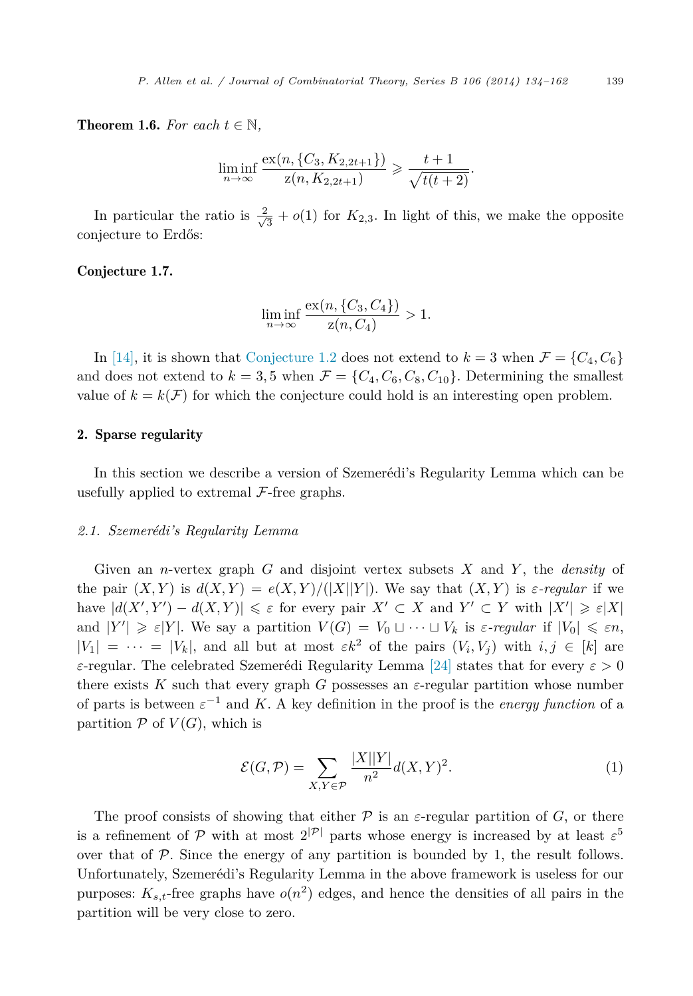<span id="page-5-0"></span>**Theorem 1.6.** For each  $t \in \mathbb{N}$ ,

$$
\liminf_{n \to \infty} \frac{\text{ex}(n, \{C_3, K_{2,2t+1}\})}{z(n, K_{2,2t+1})} \geq \frac{t+1}{\sqrt{t(t+2)}}.
$$

In particular the ratio is  $\frac{2}{\sqrt{3}} + o(1)$  for  $K_{2,3}$ . In light of this, we make the opposite conjecture to Erdős:

#### Conjecture 1.7.

$$
\liminf_{n \to \infty} \frac{\operatorname{ex}(n, \{C_3, C_4\})}{z(n, C_4)} > 1.
$$

In [\[14\],](#page-27-0) it is shown that [Conjecture 1.2](#page-2-0) does not extend to  $k = 3$  when  $\mathcal{F} = \{C_4, C_6\}$ and does not extend to  $k = 3, 5$  when  $\mathcal{F} = \{C_4, C_6, C_8, C_{10}\}$ . Determining the smallest value of  $k = k(\mathcal{F})$  for which the conjecture could hold is an interesting open problem.

#### 2. Sparse regularity

In this section we describe a version of Szemerédi's Regularity Lemma which can be usefully applied to extremal  $\mathcal{F}\text{-free graphs.}$ 

#### *2.1. Szemerédi's Regularity Lemma*

Given an *n*-vertex graph *G* and disjoint vertex subsets *X* and *Y* , the *density* of the pair  $(X, Y)$  is  $d(X, Y) = e(X, Y)/(|X||Y|)$ . We say that  $(X, Y)$  is  $\varepsilon$ -regular if we have  $|d(X', Y') - d(X, Y)| \le \varepsilon$  for every pair  $X' \subset X$  and  $Y' \subset Y$  with  $|X'| \ge \varepsilon |X|$ and  $|Y'| \geq \varepsilon |Y|$ . We say a partition  $V(G) = V_0 \sqcup \cdots \sqcup V_k$  is  $\varepsilon$ -regular if  $|V_0| \leq \varepsilon n$ ,  $|V_1| = \cdots = |V_k|$ , and all but at most  $\varepsilon k^2$  of the pairs  $(V_i, V_j)$  with  $i, j \in [k]$  are *ε*-regular. The celebrated Szemerédi Regularity Lemma [\[24\]](#page-28-0) states that for every *ε >* 0 there exists  $K$  such that every graph  $G$  possesses an  $\varepsilon$ -regular partition whose number of parts is between  $\varepsilon^{-1}$  and *K*. A key definition in the proof is the *energy function* of a partition  $P$  of  $V(G)$ , which is

$$
\mathcal{E}(G,\mathcal{P}) = \sum_{X,Y \in \mathcal{P}} \frac{|X||Y|}{n^2} d(X,Y)^2.
$$
 (1)

The proof consists of showing that either  $P$  is an  $\varepsilon$ -regular partition of *G*, or there is a refinement of P with at most  $2^{|\mathcal{P}|}$  parts whose energy is increased by at least  $\varepsilon^5$ over that of  $P$ . Since the energy of any partition is bounded by 1, the result follows. Unfortunately, Szemerédi's Regularity Lemma in the above framework is useless for our purposes:  $K_{s,t}$ -free graphs have  $o(n^2)$  edges, and hence the densities of all pairs in the partition will be very close to zero.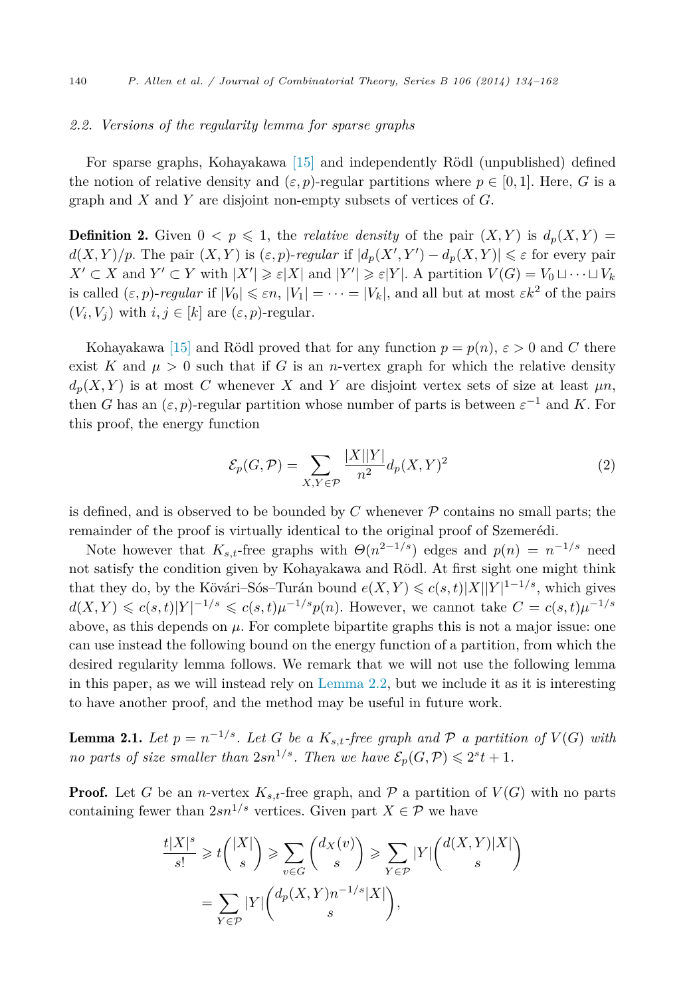#### *2.2. Versions of the regularity lemma for sparse graphs*

For sparse graphs, Kohayakawa [\[15\]](#page-27-0) and independently Rödl (unpublished) defined the notion of relative density and  $(\varepsilon, p)$ -regular partitions where  $p \in [0, 1]$ . Here, G is a graph and *X* and *Y* are disjoint non-empty subsets of vertices of *G*.

**Definition 2.** Given  $0 < p \le 1$ , the *relative density* of the pair  $(X, Y)$  is  $d_p(X, Y) =$  $d(X, Y)/p$ . The pair  $(X, Y)$  is  $(\varepsilon, p)$ -*regular* if  $|d_p(X', Y') - d_p(X, Y)| \leq \varepsilon$  for every pair  $X' \subset X$  and  $Y' \subset Y$  with  $|X'| \geqslant \varepsilon |X|$  and  $|Y'| \geqslant \varepsilon |Y|$ . A partition  $V(G) = V_0 \sqcup \cdots \sqcup V_k$ is called  $(\varepsilon, p)$ -*regular* if  $|V_0| \leq \varepsilon n$ ,  $|V_1| = \cdots = |V_k|$ , and all but at most  $\varepsilon k^2$  of the pairs  $(V_i, V_j)$  with  $i, j \in [k]$  are  $(\varepsilon, p)$ -regular.

Kohayakawa [\[15\]](#page-27-0) and Rödl proved that for any function  $p = p(n)$ ,  $\varepsilon > 0$  and *C* there exist *K* and  $\mu > 0$  such that if *G* is an *n*-vertex graph for which the relative density  $d_p(X, Y)$  is at most *C* whenever *X* and *Y* are disjoint vertex sets of size at least  $\mu n$ , then *G* has an  $(\varepsilon, p)$ -regular partition whose number of parts is between  $\varepsilon^{-1}$  and *K*. For this proof, the energy function

$$
\mathcal{E}_p(G,\mathcal{P}) = \sum_{X,Y \in \mathcal{P}} \frac{|X||Y|}{n^2} d_p(X,Y)^2 \tag{2}
$$

is defined, and is observed to be bounded by  $C$  whenever  $\mathcal P$  contains no small parts; the remainder of the proof is virtually identical to the original proof of Szemerédi.

Note however that  $K_{s,t}$ -free graphs with  $\Theta(n^{2-1/s})$  edges and  $p(n) = n^{-1/s}$  need not satisfy the condition given by Kohayakawa and Rödl. At first sight one might think that they do, by the Kövári–Sós–Turán bound  $e(X, Y) \leqslant c(s, t) |X||Y|^{1-1/s}$ , which gives  $d(X, Y) \leq c(s, t)|Y|^{-1/s} \leq c(s, t)\mu^{-1/s}p(n)$ . However, we cannot take  $C = c(s, t)\mu^{-1/s}$ above, as this depends on  $\mu$ . For complete bipartite graphs this is not a major issue: one can use instead the following bound on the energy function of a partition, from which the desired regularity lemma follows. We remark that we will not use the following lemma in this paper, as we will instead rely on [Lemma 2.2,](#page-7-0) but we include it as it is interesting to have another proof, and the method may be useful in future work.

**Lemma 2.1.** Let  $p = n^{-1/s}$ . Let G be a  $K_{s,t}$ -free graph and P a partition of  $V(G)$  with *no parts of size smaller than*  $2sn^{1/s}$ *. Then we have*  $\mathcal{E}_p(G, \mathcal{P}) \leq 2^s t + 1$ *.* 

**Proof.** Let *G* be an *n*-vertex  $K_{s,t}$ -free graph, and  $P$  a partition of  $V(G)$  with no parts containing fewer than  $2sn^{1/s}$  vertices. Given part  $X \in \mathcal{P}$  we have

$$
\frac{t|X|^s}{s!} \geq t\binom{|X|}{s} \geqslant \sum_{v \in G} \binom{d_X(v)}{s} \geqslant \sum_{Y \in \mathcal{P}} |Y| \binom{d(X,Y)|X|}{s}
$$
\n
$$
= \sum_{Y \in \mathcal{P}} |Y| \binom{d_p(X,Y)n^{-1/s}|X|}{s},
$$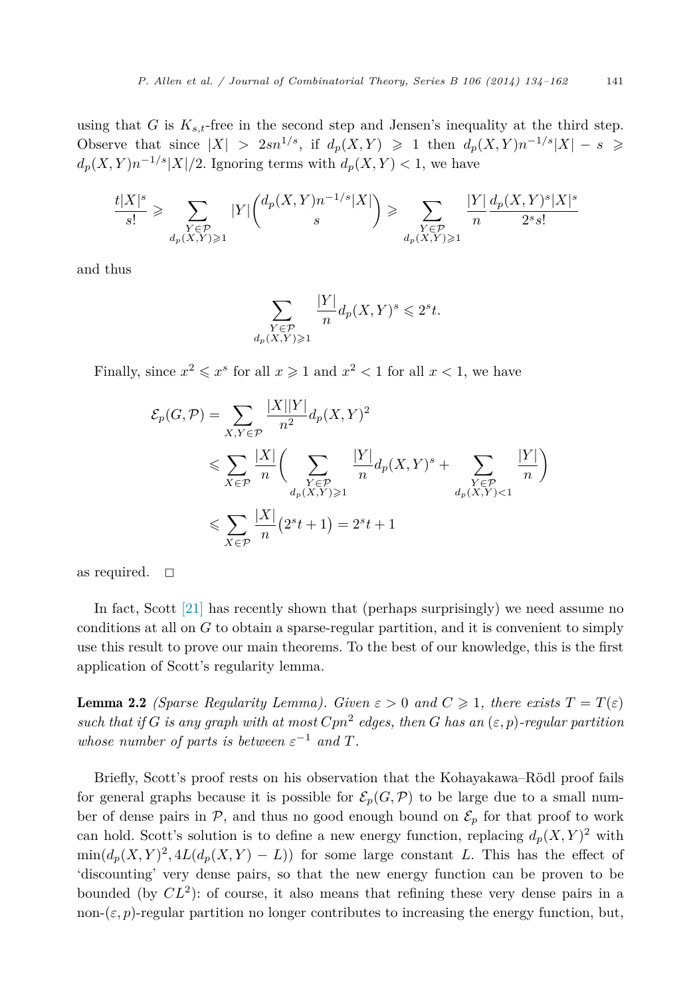<span id="page-7-0"></span>using that *G* is  $K_{s,t}$ -free in the second step and Jensen's inequality at the third step. Observe that since  $|X| > 2sn^{1/s}$ , if  $d_p(X, Y) \ge 1$  then  $d_p(X, Y)n^{-1/s}|X| - s \ge$  $d_p(X, Y)n^{-1/s}|X|/2$ . Ignoring terms with  $d_p(X, Y) < 1$ , we have

$$
\frac{t|X|^s}{s!} \geqslant \sum_{\substack{Y \in \mathcal{P} \\ d_p(X,Y) \geqslant 1}} |Y| \binom{d_p(X,Y)n^{-1/s}|X|}{s} \geqslant \sum_{\substack{Y \in \mathcal{P} \\ d_p(X,Y) \geqslant 1}} \frac{|Y|}{n} \frac{d_p(X,Y)^s|X|^s}{2^s s!}
$$

and thus

$$
\sum_{\substack{Y \in \mathcal{P} \\ d_p(X,Y) \geqslant 1}} \frac{|Y|}{n} d_p(X,Y)^s \leqslant 2^s t.
$$

Finally, since  $x^2 \le x^s$  for all  $x \ge 1$  and  $x^2 < 1$  for all  $x < 1$ , we have

$$
\mathcal{E}_p(G, \mathcal{P}) = \sum_{X, Y \in \mathcal{P}} \frac{|X||Y|}{n^2} d_p(X, Y)^2
$$
  
\$\leqslant \sum\_{X \in \mathcal{P}} \frac{|X|}{n} \left( \sum\_{\substack{Y \in \mathcal{P} \\ d\_p(X, Y) \geqslant 1}} \frac{|Y|}{n} d\_p(X, Y)^s + \sum\_{\substack{Y \in \mathcal{P} \\ d\_p(X, Y) < 1}} \frac{|Y|}{n} \right)\$  
\$\leqslant \sum\_{X \in \mathcal{P}} \frac{|X|}{n} (2^s t + 1) = 2^s t + 1\$

as required.  $\square$ 

In fact, Scott [\[21\]](#page-27-0) has recently shown that (perhaps surprisingly) we need assume no conditions at all on *G* to obtain a sparse-regular partition, and it is convenient to simply use this result to prove our main theorems. To the best of our knowledge, this is the first application of Scott's regularity lemma.

**Lemma 2.2** *(Sparse Regularity Lemma). Given*  $\varepsilon > 0$  *and*  $C \geq 1$ *, there exists*  $T = T(\varepsilon)$ *such that if G is any graph with at most*  $Cpn^2$  *edges, then G has an*  $(\varepsilon, p)$ *-regular partition whose number of parts is between*  $\varepsilon^{-1}$  *and*  $T$ *.* 

Briefly, Scott's proof rests on his observation that the Kohayakawa–Rödl proof fails for general graphs because it is possible for  $\mathcal{E}_p(G,\mathcal{P})$  to be large due to a small number of dense pairs in  $P$ , and thus no good enough bound on  $\mathcal{E}_p$  for that proof to work can hold. Scott's solution is to define a new energy function, replacing  $d_p(X, Y)^2$  with  $\min(d_p(X, Y)^2, 4L(d_p(X, Y) - L))$  for some large constant *L*. This has the effect of 'discounting' very dense pairs, so that the new energy function can be proven to be bounded (by  $CL^2$ ): of course, it also means that refining these very dense pairs in a non- $(\varepsilon, p)$ -regular partition no longer contributes to increasing the energy function, but,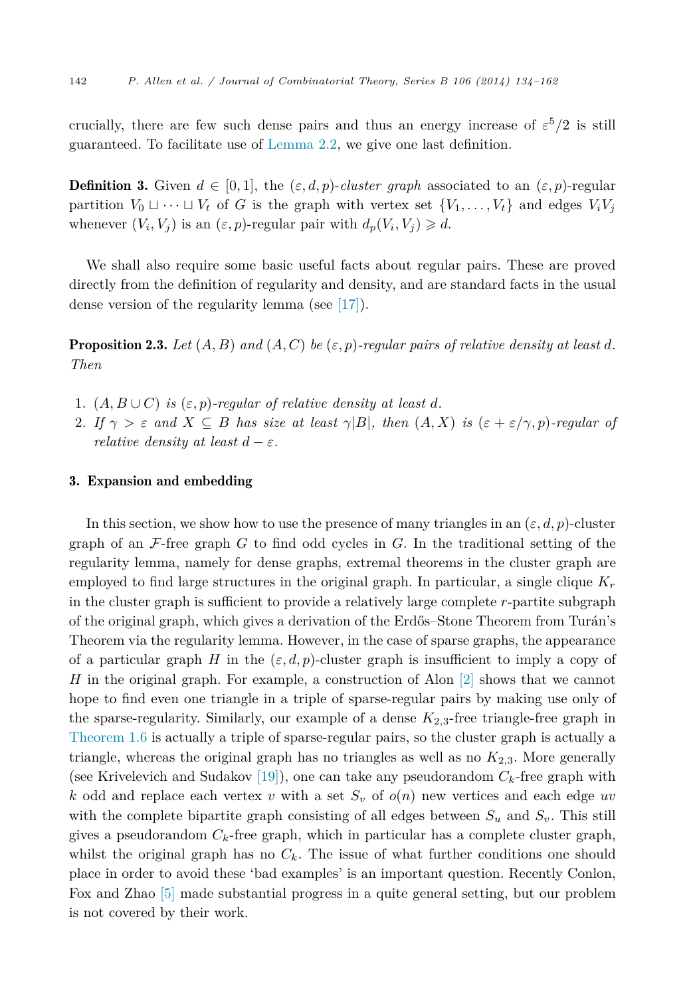<span id="page-8-0"></span>crucially, there are few such dense pairs and thus an energy increase of  $\varepsilon^5/2$  is still guaranteed. To facilitate use of [Lemma 2.2,](#page-7-0) we give one last definition.

**Definition 3.** Given  $d \in [0, 1]$ , the  $(\varepsilon, d, p)$ -*cluster graph* associated to an  $(\varepsilon, p)$ -regular partition  $V_0 \sqcup \cdots \sqcup V_t$  of *G* is the graph with vertex set  $\{V_1, \ldots, V_t\}$  and edges  $V_i V_j$ whenever  $(V_i, V_j)$  is an  $(\varepsilon, p)$ -regular pair with  $d_p(V_i, V_j) \geq d$ .

We shall also require some basic useful facts about regular pairs. These are proved directly from the definition of regularity and density, and are standard facts in the usual dense version of the regularity lemma (see [\[17\]\)](#page-27-0).

**Proposition 2.3.** Let  $(A, B)$  and  $(A, C)$  be  $(\varepsilon, p)$ -regular pairs of relative density at least d. *Then*

- 1.  $(A, B \cup C)$  *is*  $(\varepsilon, p)$ -regular of relative density at least d.
- 2. If  $\gamma > \varepsilon$  and  $X \subseteq B$  has size at least  $\gamma |B|$ , then  $(A, X)$  is  $(\varepsilon + \varepsilon/\gamma, p)$ -regular of *relative density at least*  $d - \varepsilon$ *.*

#### 3. Expansion and embedding

In this section, we show how to use the presence of many triangles in an  $(\varepsilon, d, p)$ -cluster graph of an F-free graph *G* to find odd cycles in *G*. In the traditional setting of the regularity lemma, namely for dense graphs, extremal theorems in the cluster graph are employed to find large structures in the original graph. In particular, a single clique *K<sup>r</sup>* in the cluster graph is sufficient to provide a relatively large complete *r*-partite subgraph of the original graph, which gives a derivation of the Erdős–Stone Theorem from Turán's Theorem via the regularity lemma. However, in the case of sparse graphs, the appearance of a particular graph *H* in the  $(\varepsilon, d, p)$ -cluster graph is insufficient to imply a copy of *H* in the original graph. For example, a construction of Alon [\[2\]](#page-27-0) shows that we cannot hope to find even one triangle in a triple of sparse-regular pairs by making use only of the sparse-regularity. Similarly, our example of a dense  $K_{2,3}$ -free triangle-free graph in [Theorem 1.6](#page-5-0) is actually a triple of sparse-regular pairs, so the cluster graph is actually a triangle, whereas the original graph has no triangles as well as no  $K_{2,3}$ . More generally (see Krivelevich and Sudakov [\[19\]\)](#page-27-0), one can take any pseudorandom *Ck*-free graph with *k* odd and replace each vertex *v* with a set *S<sup>v</sup>* of *o*(*n*) new vertices and each edge *uv* with the complete bipartite graph consisting of all edges between  $S_u$  and  $S_v$ . This still gives a pseudorandom  $C_k$ -free graph, which in particular has a complete cluster graph, whilst the original graph has no  $C_k$ . The issue of what further conditions one should place in order to avoid these 'bad examples' is an important question. Recently Conlon, Fox and Zhao [\[5\]](#page-27-0) made substantial progress in a quite general setting, but our problem is not covered by their work.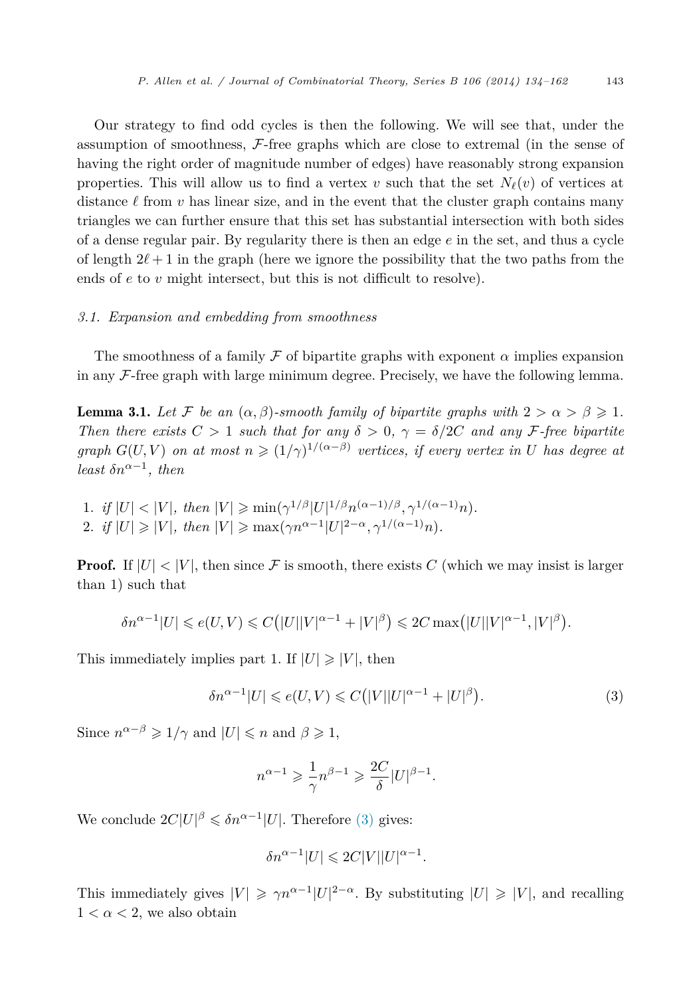<span id="page-9-0"></span>Our strategy to find odd cycles is then the following. We will see that, under the assumption of smoothness,  $\mathcal{F}$ -free graphs which are close to extremal (in the sense of having the right order of magnitude number of edges) have reasonably strong expansion properties. This will allow us to find a vertex *v* such that the set  $N_{\ell}(v)$  of vertices at distance  $\ell$  from  $\nu$  has linear size, and in the event that the cluster graph contains many triangles we can further ensure that this set has substantial intersection with both sides of a dense regular pair. By regularity there is then an edge *e* in the set, and thus a cycle of length  $2\ell + 1$  in the graph (here we ignore the possibility that the two paths from the ends of *e* to *v* might intersect, but this is not difficult to resolve).

#### *3.1. Expansion and embedding from smoothness*

The smoothness of a family F of bipartite graphs with exponent  $\alpha$  implies expansion in any  $\mathcal F$ -free graph with large minimum degree. Precisely, we have the following lemma.

**Lemma 3.1.** Let F be an  $(\alpha, \beta)$ -smooth family of bipartite graphs with  $2 > \alpha > \beta \geq 1$ . *Then there exists*  $C > 1$  *such that for any*  $\delta > 0$ ,  $\gamma = \delta/2C$  *and any* F-free bipartite *graph*  $G(U, V)$  *on at most*  $n \geq (1/\gamma)^{1/(\alpha - \beta)}$  *vertices, if every vertex in U has degree at least*  $\delta n^{\alpha-1}$ *, then* 

1. *if*  $|U| < |V|$ *, then*  $|V| \ge \min(\gamma^{1/\beta} |U|^{1/\beta} n^{(\alpha-1)/\beta}, \gamma^{1/(\alpha-1)} n)$ . 2. *if*  $|U| \ge |V|$ *, then*  $|V| \ge \max(\gamma n^{\alpha-1}|U|^{2-\alpha}, \gamma^{1/(\alpha-1)}n)$ .

**Proof.** If  $|U| < |V|$ , then since F is smooth, there exists C (which we may insist is larger than 1) such that

$$
\delta n^{\alpha-1}|U| \leqslant e(U,V) \leqslant C\big(|U||V|^{\alpha-1}+|V|^{\beta}\big) \leqslant 2C \max\big(|U||V|^{\alpha-1},|V|^{\beta}\big).
$$

This immediately implies part 1. If  $|U| \geq |V|$ , then

$$
\delta n^{\alpha - 1} |U| \leqslant e(U, V) \leqslant C\big( |V||U|^{\alpha - 1} + |U|^{\beta} \big). \tag{3}
$$

Since  $n^{\alpha-\beta} \geq 1/\gamma$  and  $|U| \leq n$  and  $\beta \geq 1$ ,

$$
n^{\alpha-1} \geqslant \frac{1}{\gamma} n^{\beta-1} \geqslant \frac{2C}{\delta} |U|^{\beta-1}.
$$

We conclude  $2C|U|^{\beta} \leq \delta n^{\alpha-1}|U|$ . Therefore (3) gives:

$$
\delta n^{\alpha - 1} |U| \leqslant 2C|V||U|^{\alpha - 1}.
$$

This immediately gives  $|V| \ge \gamma n^{\alpha-1} |U|^{2-\alpha}$ . By substituting  $|U| \ge |V|$ , and recalling  $1 < \alpha < 2$ , we also obtain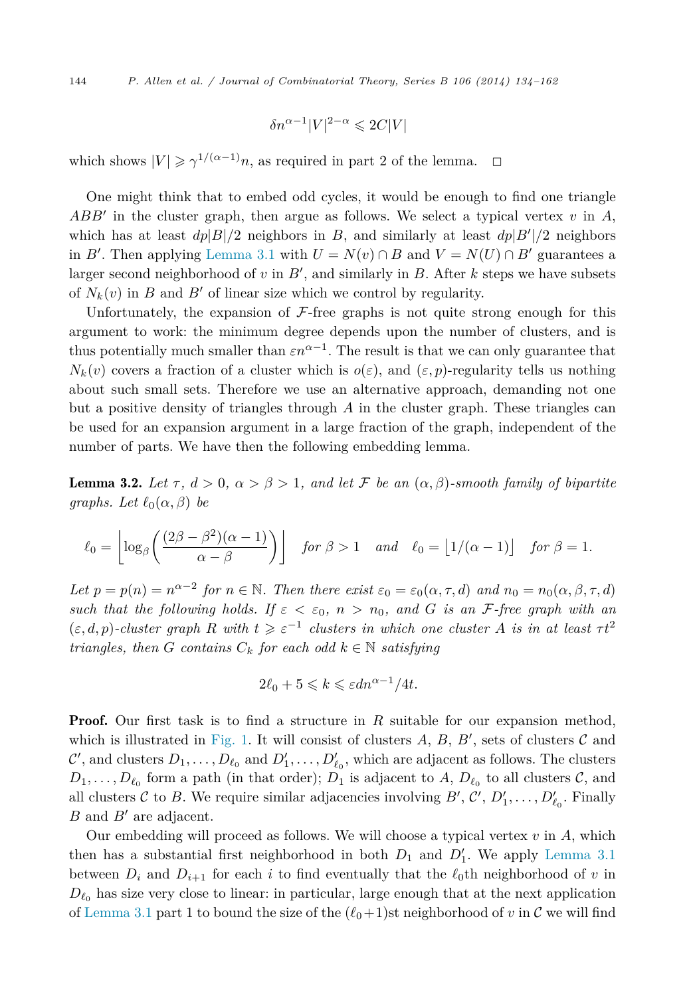$$
\delta n^{\alpha - 1} |V|^{2 - \alpha} \leqslant 2C|V|
$$

<span id="page-10-0"></span>which shows  $|V| \ge \gamma^{1/(\alpha-1)}n$ , as required in part 2 of the lemma.  $\Box$ 

One might think that to embed odd cycles, it would be enough to find one triangle *ABB* in the cluster graph, then argue as follows. We select a typical vertex *v* in *A*, which has at least  $dp|B|/2$  neighbors in *B*, and similarly at least  $dp|B'|/2$  neighbors in *B*'. Then applying [Lemma 3.1](#page-9-0) with  $U = N(v) \cap B$  and  $V = N(U) \cap B'$  guarantees a larger second neighborhood of *v* in *B* , and similarly in *B*. After *k* steps we have subsets of  $N_k(v)$  in *B* and *B'* of linear size which we control by regularity.

Unfortunately, the expansion of  $F$ -free graphs is not quite strong enough for this argument to work: the minimum degree depends upon the number of clusters, and is thus potentially much smaller than  $\varepsilon n^{\alpha-1}$ . The result is that we can only guarantee that  $N_k(v)$  covers a fraction of a cluster which is  $o(\varepsilon)$ , and  $(\varepsilon, p)$ -regularity tells us nothing about such small sets. Therefore we use an alternative approach, demanding not one but a positive density of triangles through *A* in the cluster graph. These triangles can be used for an expansion argument in a large fraction of the graph, independent of the number of parts. We have then the following embedding lemma.

**Lemma 3.2.** Let  $\tau$ ,  $d > 0$ ,  $\alpha > \beta > 1$ , and let F be an  $(\alpha, \beta)$ -smooth family of bipartite *graphs.* Let  $\ell_0(\alpha, \beta)$  be

$$
\ell_0 = \left\lfloor \log_\beta \left( \frac{(2\beta - \beta^2)(\alpha - 1)}{\alpha - \beta} \right) \right\rfloor \quad \text{for } \beta > 1 \quad \text{and} \quad \ell_0 = \lfloor 1/(\alpha - 1) \rfloor \quad \text{for } \beta = 1.
$$

*Let*  $p = p(n) = n^{\alpha-2}$  *for*  $n \in \mathbb{N}$ *. Then there exist*  $\varepsilon_0 = \varepsilon_0(\alpha, \tau, d)$  *and*  $n_0 = n_0(\alpha, \beta, \tau, d)$ *such that the following holds. If*  $\varepsilon < \varepsilon_0$ ,  $n > n_0$ , and *G is an F*-free graph with an  $(\varepsilon, d, p)$ *-cluster graph R* with  $t \geq \varepsilon^{-1}$  *clusters in which one cluster A is in at least*  $\tau t^2$ *triangles, then G contains*  $C_k$  *for each odd*  $k \in \mathbb{N}$  *satisfying* 

$$
2\ell_0 + 5 \leq k \leq \varepsilon dn^{\alpha - 1}/4t.
$$

**Proof.** Our first task is to find a structure in R suitable for our expansion method, which is illustrated in [Fig. 1.](#page-11-0) It will consist of clusters  $A$ ,  $B$ ,  $B'$ , sets of clusters  $C$  and  $\mathcal{C}'$ , and clusters  $D_1, \ldots, D_{\ell_0}$  and  $D'_1, \ldots, D'_{\ell_0}$ , which are adjacent as follows. The clusters  $D_1, \ldots, D_{\ell_0}$  form a path (in that order);  $D_1$  is adjacent to *A*,  $D_{\ell_0}$  to all clusters *C*, and all clusters  $C$  to  $B$ . We require similar adjacencies involving  $B', C', D'_1, \ldots, D'_{\ell_0}$ . Finally *B* and *B'* are adjacent.

Our embedding will proceed as follows. We will choose a typical vertex *v* in *A*, which then has a substantial first neighborhood in both  $D_1$  and  $D'_1$ . We apply [Lemma 3.1](#page-9-0) between  $D_i$  and  $D_{i+1}$  for each *i* to find eventually that the  $\ell_0$ th neighborhood of *v* in  $D_{\ell_0}$  has size very close to linear: in particular, large enough that at the next application of [Lemma 3.1](#page-9-0) part 1 to bound the size of the  $(\ell_0+1)$ st neighborhood of *v* in C we will find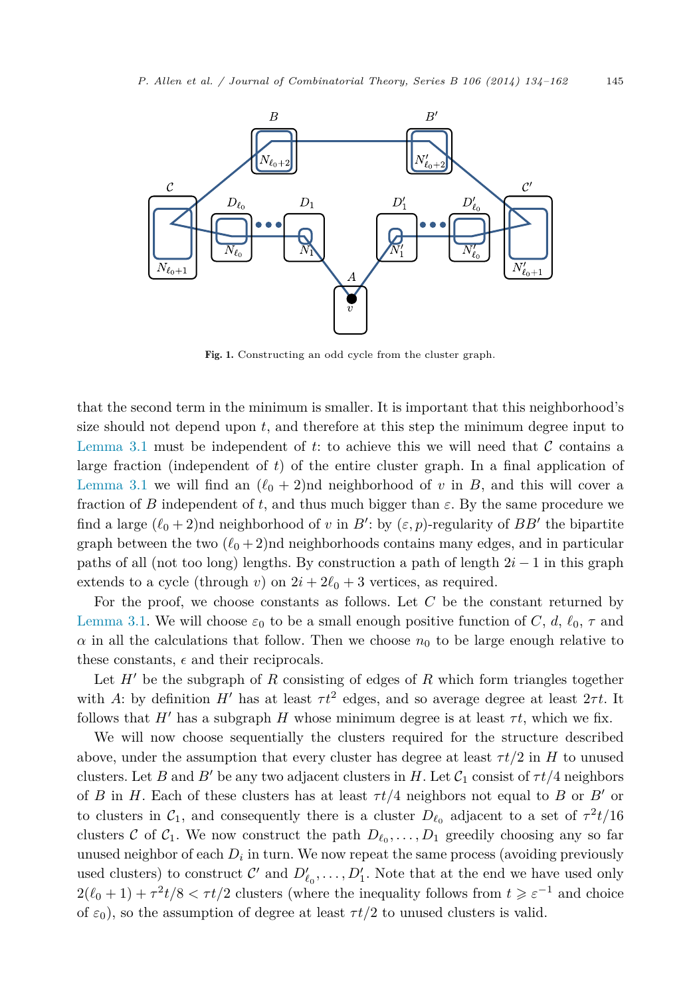<span id="page-11-0"></span>

Fig. 1. Constructing an odd cycle from the cluster graph.

that the second term in the minimum is smaller. It is important that this neighborhood's size should not depend upon *t*, and therefore at this step the minimum degree input to [Lemma 3.1](#page-9-0) must be independent of  $t$ : to achieve this we will need that  $C$  contains a large fraction (independent of *t*) of the entire cluster graph. In a final application of [Lemma 3.1](#page-9-0) we will find an  $(\ell_0 + 2)$ nd neighborhood of *v* in *B*, and this will cover a fraction of *B* independent of *t*, and thus much bigger than  $\varepsilon$ . By the same procedure we find a large  $(\ell_0 + 2)$ nd neighborhood of *v* in *B*': by  $(\varepsilon, p)$ -regularity of *BB*' the bipartite graph between the two  $(\ell_0 + 2)$ nd neighborhoods contains many edges, and in particular paths of all (not too long) lengths. By construction a path of length 2*i* − 1 in this graph extends to a cycle (through *v*) on  $2i + 2\ell_0 + 3$  vertices, as required.

For the proof, we choose constants as follows. Let *C* be the constant returned by [Lemma 3.1.](#page-9-0) We will choose  $\varepsilon_0$  to be a small enough positive function of *C*, *d*,  $\ell_0$ ,  $\tau$  and  $\alpha$  in all the calculations that follow. Then we choose  $n_0$  to be large enough relative to these constants,  $\epsilon$  and their reciprocals.

Let  $H'$  be the subgraph of  $R$  consisting of edges of  $R$  which form triangles together with *A*: by definition *H'* has at least  $\tau t^2$  edges, and so average degree at least  $2\tau t$ . It follows that  $H'$  has a subgraph  $H$  whose minimum degree is at least  $\tau t$ , which we fix.

We will now choose sequentially the clusters required for the structure described above, under the assumption that every cluster has degree at least  $\tau t/2$  in *H* to unused clusters. Let *B* and *B'* be any two adjacent clusters in *H*. Let  $C_1$  consist of  $\tau t/4$  neighbors of *B* in *H*. Each of these clusters has at least  $\tau t/4$  neighbors not equal to *B* or *B'* or to clusters in  $C_1$ , and consequently there is a cluster  $D_{\ell_0}$  adjacent to a set of  $\tau^2 t/16$ clusters C of  $C_1$ . We now construct the path  $D_{\ell_0}, \ldots, D_1$  greedily choosing any so far unused neighbor of each  $D_i$  in turn. We now repeat the same process (avoiding previously used clusters) to construct  $\mathcal{C}'$  and  $D'_{\ell_0}, \ldots, D'_1$ . Note that at the end we have used only  $2(\ell_0 + 1) + \tau^2 t/8 < \tau t/2$  clusters (where the inequality follows from  $t \geq \varepsilon^{-1}$  and choice of  $\varepsilon_0$ ), so the assumption of degree at least  $\tau t/2$  to unused clusters is valid.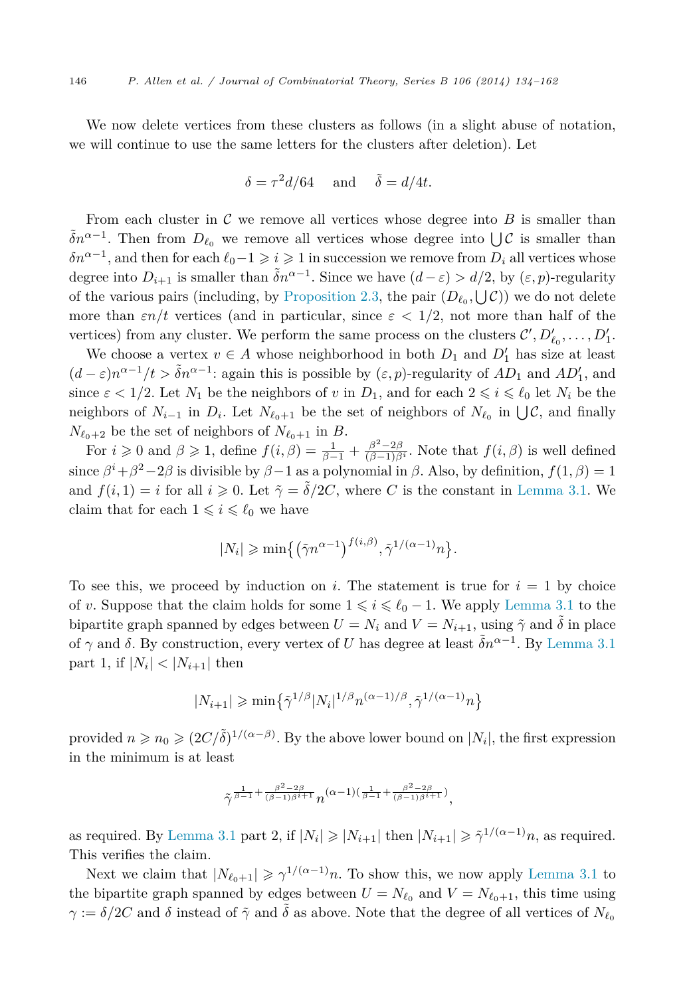We now delete vertices from these clusters as follows (in a slight abuse of notation, we will continue to use the same letters for the clusters after deletion). Let

$$
\delta = \tau^2 d/64 \quad \text{and} \quad \tilde{\delta} = d/4t.
$$

From each cluster in  $\mathcal C$  we remove all vertices whose degree into  $B$  is smaller than  $\tilde{\delta}n^{\alpha-1}$ . Then from  $D_{\ell_0}$  we remove all vertices whose degree into  $\bigcup \mathcal{C}$  is smaller than  $\delta n^{\alpha-1}$ , and then for each  $\ell_0 - 1 \geqslant i \geqslant 1$  in succession we remove from  $D_i$  all vertices whose degree into  $D_{i+1}$  is smaller than  $\tilde{\delta}n^{\alpha-1}$ . Since we have  $(d-\varepsilon) > d/2$ , by  $(\varepsilon, p)$ -regularity of the various pairs (including, by [Proposition 2.3,](#page-8-0) the pair  $(D_{\ell_0}, \bigcup \mathcal{C})$ ) we do not delete more than  $\varepsilon n/t$  vertices (and in particular, since  $\varepsilon < 1/2$ , not more than half of the vertices) from any cluster. We perform the same process on the clusters  $\mathcal{C}', D'_{\ell_0}, \ldots, D'_1$ .

We choose a vertex  $v \in A$  whose neighborhood in both  $D_1$  and  $D'_1$  has size at least  $(d - \varepsilon)n^{\alpha - 1}/t > \tilde{\delta}n^{\alpha - 1}$ : again this is possible by  $(\varepsilon, p)$ -regularity of  $AD_1$  and  $AD'_1$ , and since  $\varepsilon < 1/2$ . Let  $N_1$  be the neighbors of *v* in  $D_1$ , and for each  $2 \leq i \leq \ell_0$  let  $N_i$  be the neighbors of  $N_{i-1}$  in  $D_i$ . Let  $N_{\ell_0+1}$  be the set of neighbors of  $N_{\ell_0}$  in  $\bigcup \mathcal{C}$ , and finally  $N_{\ell_0+2}$  be the set of neighbors of  $N_{\ell_0+1}$  in *B*.

For  $i \geq 0$  and  $\beta \geq 1$ , define  $f(i, \beta) = \frac{1}{\beta - 1} + \frac{\beta^2 - 2\beta}{(\beta - 1)\beta^i}$ . Note that  $f(i, \beta)$  is well defined since  $\beta^{i} + \beta^{2} - 2\beta$  is divisible by  $\beta - 1$  as a polynomial in  $\beta$ . Also, by definition,  $f(1, \beta) = 1$ and  $f(i,1) = i$  for all  $i \geq 0$ . Let  $\tilde{\gamma} = \tilde{\delta}/2C$ , where *C* is the constant in [Lemma 3.1.](#page-9-0) We claim that for each  $1 \leq i \leq \ell_0$  we have

$$
|N_i| \geqslant \min\left\{ \left( \tilde{\gamma} n^{\alpha - 1} \right)^{f(i, \beta)}, \tilde{\gamma}^{1/(\alpha - 1)} n \right\}.
$$

To see this, we proceed by induction on *i*. The statement is true for  $i = 1$  by choice of *v*. Suppose that the claim holds for some  $1 \leqslant i \leqslant \ell_0 - 1$ . We apply [Lemma 3.1](#page-9-0) to the bipartite graph spanned by edges between  $U = N_i$  and  $V = N_{i+1}$ , using  $\tilde{\gamma}$  and  $\tilde{\delta}$  in place of *γ* and *δ*. By construction, every vertex of *U* has degree at least  $\tilde{\delta}n^{\alpha-1}$ . By [Lemma 3.1](#page-9-0) part 1, if  $|N_i| < |N_{i+1}|$  then

$$
|N_{i+1}| \ge \min\left\{\tilde{\gamma}^{1/\beta} |N_i|^{1/\beta} n^{(\alpha-1)/\beta}, \tilde{\gamma}^{1/(\alpha-1)} n\right\}
$$

provided  $n \ge n_0 \ge (2C/\tilde{\delta})^{1/(\alpha-\beta)}$ . By the above lower bound on  $|N_i|$ , the first expression in the minimum is at least

$$
\tilde{\gamma}^{\frac{1}{\beta-1}+\frac{\beta^2-2\beta}{(\beta-1)\beta^i+1}}n^{(\alpha-1)(\frac{1}{\beta-1}+\frac{\beta^2-2\beta}{(\beta-1)\beta^i+1})},
$$

as required. By [Lemma 3.1](#page-9-0) part 2, if  $|N_i| \geq |N_{i+1}|$  then  $|N_{i+1}| \geq \tilde{\gamma}^{1/(\alpha-1)}n$ , as required. This verifies the claim.

Next we claim that  $|N_{\ell_0+1}| \geq \gamma^{1/(\alpha-1)}n$ . To show this, we now apply [Lemma 3.1](#page-9-0) to the bipartite graph spanned by edges between  $U = N_{\ell_0}$  and  $V = N_{\ell_0+1}$ , this time using *γ* :=  $\delta/2C$  and  $\delta$  instead of  $\tilde{\gamma}$  and  $\tilde{\delta}$  as above. Note that the degree of all vertices of  $N_{\ell_0}$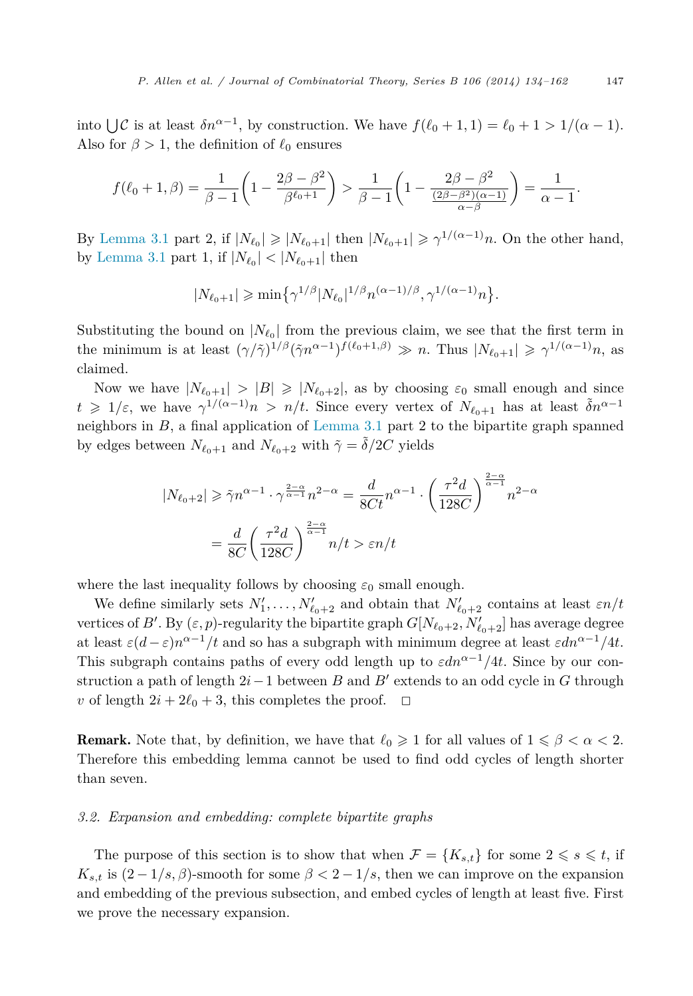into  $\bigcup \mathcal{C}$  is at least  $\delta n^{\alpha-1}$ , by construction. We have  $f(\ell_0 + 1, 1) = \ell_0 + 1 > 1/(\alpha - 1)$ . Also for  $\beta > 1$ , the definition of  $\ell_0$  ensures

$$
f(\ell_0 + 1, \beta) = \frac{1}{\beta - 1} \left( 1 - \frac{2\beta - \beta^2}{\beta^{\ell_0 + 1}} \right) > \frac{1}{\beta - 1} \left( 1 - \frac{2\beta - \beta^2}{\frac{(2\beta - \beta^2)(\alpha - 1)}{\alpha - \beta}} \right) = \frac{1}{\alpha - 1}.
$$

By [Lemma 3.1](#page-9-0) part 2, if  $|N_{\ell_0}| \geq |N_{\ell_0+1}|$  then  $|N_{\ell_0+1}| \geq \gamma^{1/(\alpha-1)}n$ . On the other hand, by [Lemma 3.1](#page-9-0) part 1, if  $|N_{\ell_0}| < |N_{\ell_0+1}|$  then

$$
|N_{\ell_0+1}| \ge \min\left\{\gamma^{1/\beta} |N_{\ell_0}|^{1/\beta} n^{(\alpha-1)/\beta}, \gamma^{1/(\alpha-1)} n\right\}.
$$

Substituting the bound on  $|N_{\ell_0}|$  from the previous claim, we see that the first term in the minimum is at least  $(\gamma/\tilde{\gamma})^{1/\beta}(\tilde{\gamma}n^{\alpha-1})^{f(\ell_0+1,\beta)} \gg n$ . Thus  $|N_{\ell_0+1}| \geq \gamma^{1/(\alpha-1)}n$ , as claimed.

Now we have  $|N_{\ell_0+1}| > |B| \geq |N_{\ell_0+2}|$ , as by choosing  $\varepsilon_0$  small enough and since  $t \geq 1/\varepsilon$ , we have  $\gamma^{1/(\alpha-1)}n > n/t$ . Since every vertex of  $N_{\ell_0+1}$  has at least  $\tilde{\delta}n^{\alpha-1}$ neighbors in *B*, a final application of [Lemma 3.1](#page-9-0) part 2 to the bipartite graph spanned by edges between  $N_{\ell_0+1}$  and  $N_{\ell_0+2}$  with  $\tilde{\gamma} = \tilde{\delta}/2C$  yields

$$
|N_{\ell_0+2}| \ge \tilde{\gamma} n^{\alpha-1} \cdot \gamma^{\frac{2-\alpha}{\alpha-1}} n^{2-\alpha} = \frac{d}{8Ct} n^{\alpha-1} \cdot \left(\frac{\tau^2 d}{128C}\right)^{\frac{2-\alpha}{\alpha-1}} n^{2-\alpha}
$$

$$
= \frac{d}{8C} \left(\frac{\tau^2 d}{128C}\right)^{\frac{2-\alpha}{\alpha-1}} n/t > \varepsilon n/t
$$

where the last inequality follows by choosing  $\varepsilon_0$  small enough.

We define similarly sets  $N'_1, \ldots, N'_{\ell_0+2}$  and obtain that  $N'_{\ell_0+2}$  contains at least  $\varepsilon n/t$ vertices of  $B'$ . By  $(\varepsilon, p)$ -regularity the bipartite graph  $G[N_{\ell_0+2}, N'_{\ell_0+2}]$  has average degree at least  $\varepsilon(d-\varepsilon)n^{\alpha-1}/t$  and so has a subgraph with minimum degree at least  $\varepsilon dn^{\alpha-1}/4t$ . This subgraph contains paths of every odd length up to  $\varepsilon dn^{\alpha-1}/4t$ . Since by our construction a path of length 2*i*−1 between *B* and *B* extends to an odd cycle in *G* through *v* of length  $2i + 2\ell_0 + 3$ , this completes the proof.  $\Box$ 

**Remark.** Note that, by definition, we have that  $\ell_0 \geq 1$  for all values of  $1 \leq \beta < \alpha < 2$ . Therefore this embedding lemma cannot be used to find odd cycles of length shorter than seven.

#### *3.2. Expansion and embedding: complete bipartite graphs*

The purpose of this section is to show that when  $\mathcal{F} = \{K_{s,t}\}\)$  for some  $2 \leq s \leq t$ , if  $K_{s,t}$  is  $(2-1/s, \beta)$ -smooth for some  $\beta < 2-1/s$ , then we can improve on the expansion and embedding of the previous subsection, and embed cycles of length at least five. First we prove the necessary expansion.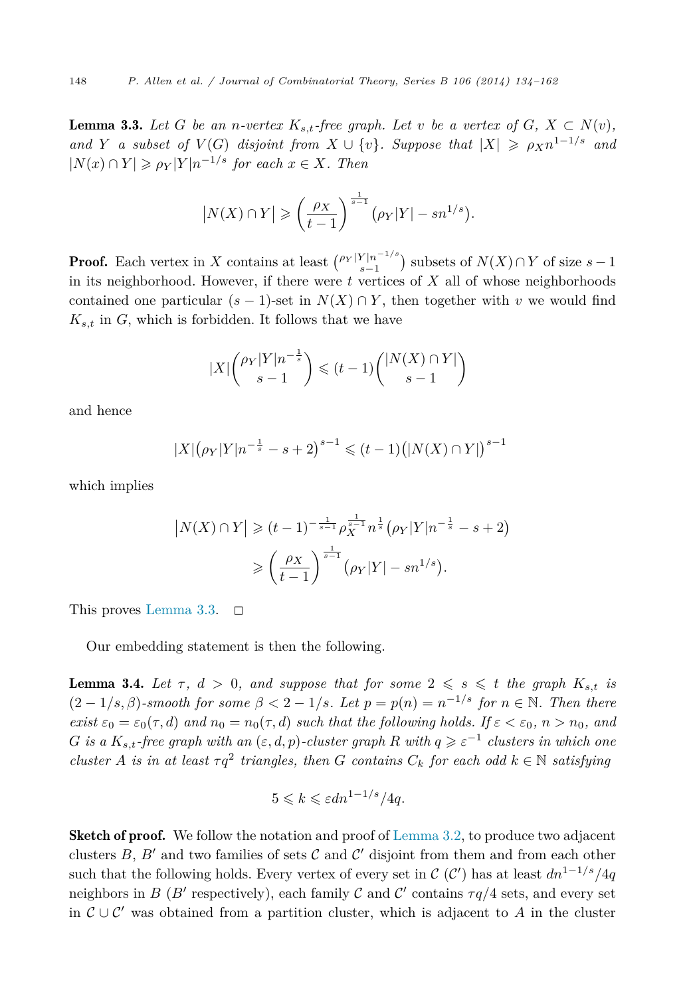<span id="page-14-0"></span>**Lemma 3.3.** Let G be an *n*-vertex  $K_{s,t}$ -free graph. Let v be a vertex of  $G, X \subset N(v)$ , *and Y a subset of*  $V(G)$  *disjoint from*  $X \cup \{v\}$ *. Suppose that*  $|X| \ge \rho_X n^{1-1/s}$  *and*  $|N(x) \cap Y| \ge \rho_Y |Y| n^{-1/s}$  *for each*  $x \in X$ *. Then* 

$$
|N(X) \cap Y| \geqslant \left(\frac{\rho_X}{t-1}\right)^{\frac{1}{s-1}} \left(\rho_Y|Y| - sn^{1/s}\right).
$$

**Proof.** Each vertex in *X* contains at least  $\binom{\rho_Y|Y|n^{-1/s}}{s-1}$  subsets of  $N(X) \cap Y$  of size  $s-1$ in its neighborhood. However, if there were *t* vertices of *X* all of whose neighborhoods contained one particular  $(s - 1)$ -set in  $N(X) \cap Y$ , then together with *v* we would find  $K_{s,t}$  in  $G$ , which is forbidden. It follows that we have

$$
|X| \binom{\rho_Y |Y| n^{-\frac{1}{s}}}{s-1} \leq (t-1) \binom{|N(X) \cap Y|}{s-1}
$$

and hence

$$
|X| (\rho_Y |Y| n^{-\frac{1}{s}} - s + 2)^{s-1} \leq (t-1) (|N(X) \cap Y|)^{s-1}
$$

which implies

$$
|N(X) \cap Y| \ge (t-1)^{-\frac{1}{s-1}} \rho_X^{\frac{1}{s-1}} n^{\frac{1}{s}} (\rho_Y |Y| n^{-\frac{1}{s}} - s + 2)
$$
  
 
$$
\ge \left(\frac{\rho_X}{t-1}\right)^{\frac{1}{s-1}} (\rho_Y |Y| - sn^{1/s}).
$$

This proves Lemma 3.3.  $\Box$ 

Our embedding statement is then the following.

**Lemma 3.4.** Let  $\tau$ ,  $d > 0$ , and suppose that for some  $2 \leq s \leq t$  the graph  $K_{s,t}$  is  $(2-1/s, \beta)$ *-smooth for some*  $\beta < 2-1/s$ *. Let*  $p = p(n) = n^{-1/s}$  *for*  $n \in \mathbb{N}$ *. Then there exist*  $\varepsilon_0 = \varepsilon_0(\tau, d)$  *and*  $n_0 = n_0(\tau, d)$  *such that the following holds. If*  $\varepsilon < \varepsilon_0$ *, n* >  $n_0$ *, and G* is a  $K_{s,t}$ -free graph with an  $(\varepsilon, d, p)$ -cluster graph  $R$  with  $q \geqslant \varepsilon^{-1}$  clusters in which one *cluster A is in at least*  $\tau q^2$  *triangles, then G contains*  $C_k$  *for each odd*  $k \in \mathbb{N}$  *satisfying* 

$$
5 \leq k \leq \varepsilon dn^{1-1/s}/4q.
$$

Sketch of proof. We follow the notation and proof of [Lemma 3.2,](#page-10-0) to produce two adjacent clusters  $B, B'$  and two families of sets  $C$  and  $C'$  disjoint from them and from each other such that the following holds. Every vertex of every set in  $\mathcal{C}(\mathcal{C}')$  has at least  $dn^{1-1/s}/4q$ neighbors in *B* (*B'* respectively), each family C and C' contains  $\tau q/4$  sets, and every set in  $\mathcal{C} \cup \mathcal{C}'$  was obtained from a partition cluster, which is adjacent to *A* in the cluster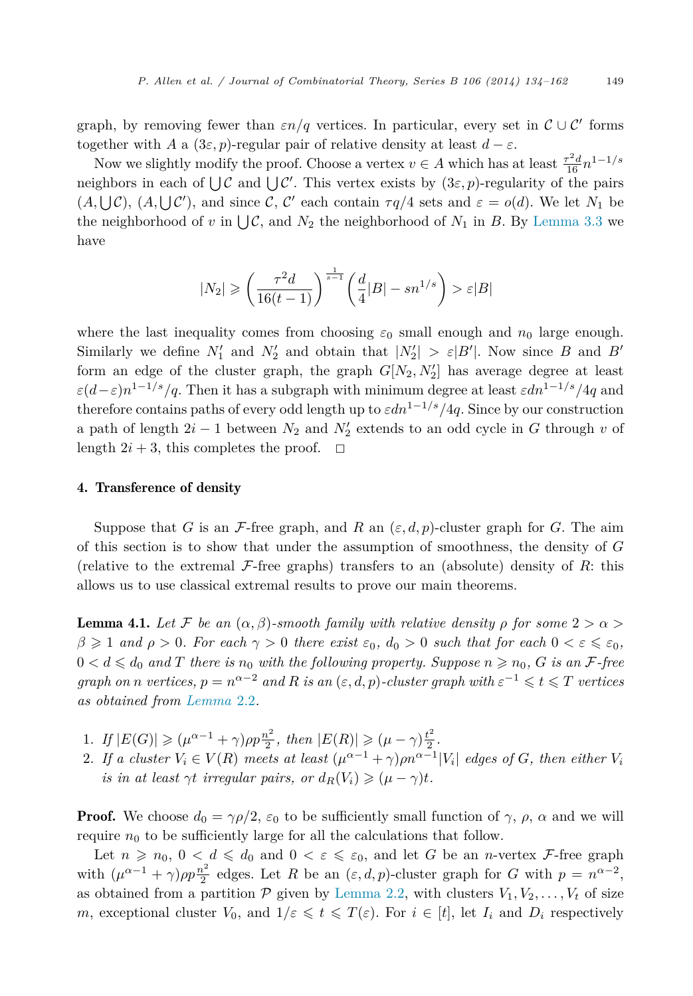<span id="page-15-0"></span>graph, by removing fewer than  $\varepsilon n/q$  vertices. In particular, every set in  $\mathcal{C}\cup\mathcal{C}'$  forms together with *A* a  $(3\varepsilon, p)$ -regular pair of relative density at least  $d - \varepsilon$ .

Now we slightly modify the proof. Choose a vertex  $v \in A$  which has at least  $\frac{\tau^2 d}{16} n^{1-1/s}$ neighbors in each of  $\bigcup \mathcal{C}$  and  $\bigcup \mathcal{C}'$ . This vertex exists by  $(3\varepsilon, p)$ -regularity of the pairs  $(A, \bigcup \mathcal{C})$ ,  $(A, \bigcup \mathcal{C}')$ , and since  $\mathcal{C}, \mathcal{C}'$  each contain  $\tau q/4$  sets and  $\varepsilon = o(d)$ . We let  $N_1$  be the neighborhood of v in  $\bigcup \mathcal{C}$ , and  $N_2$  the neighborhood of  $N_1$  in B. By [Lemma 3.3](#page-14-0) we have

$$
|N_2|\geqslant \bigg(\frac{\tau^2d}{16(t-1)}\bigg)^{\frac{1}{s-1}}\bigg(\frac{d}{4}|B|-sn^{1/s}\bigg)>\varepsilon|B|
$$

where the last inequality comes from choosing  $\varepsilon_0$  small enough and  $n_0$  large enough. Similarly we define  $N'_1$  and  $N'_2$  and obtain that  $|N'_2| > \varepsilon |B'|$ . Now since *B* and *B'* form an edge of the cluster graph, the graph  $G[N_2, N'_2]$  has average degree at least  $\varepsilon(d-\varepsilon)n^{1-1/s}/q$ . Then it has a subgraph with minimum degree at least  $\varepsilon dn^{1-1/s}/q$  and therefore contains paths of every odd length up to *εdn*<sup>1</sup>−1*/s/*4*q*. Since by our construction a path of length 2*i* − 1 between *N*<sup>2</sup> and *N* <sup>2</sup> extends to an odd cycle in *G* through *v* of length  $2i + 3$ , this completes the proof.  $\Box$ 

#### 4. Transference of density

Suppose that *G* is an *F*-free graph, and *R* an  $(\varepsilon, d, p)$ -cluster graph for *G*. The aim of this section is to show that under the assumption of smoothness, the density of *G* (relative to the extremal  $\mathcal{F}$ -free graphs) transfers to an (absolute) density of  $R$ : this allows us to use classical extremal results to prove our main theorems.

**Lemma 4.1.** Let F be an  $(\alpha, \beta)$ -smooth family with relative density  $\rho$  for some  $2 > \alpha >$  $\beta \geqslant 1$  and  $\rho > 0$ . For each  $\gamma > 0$  there exist  $\varepsilon_0$ ,  $d_0 > 0$  such that for each  $0 < \varepsilon \leqslant \varepsilon_0$ ,  $0 < d \leq d_0$  and  $T$  there is  $n_0$  with the following property. Suppose  $n \geqslant n_0$ ,  $G$  is an  $\mathcal{F}\text{-free}$ *graph on n vertices,*  $p = n^{\alpha - 2}$  *and*  $R$  *is an* ( $\varepsilon, d, p$ )*-cluster graph with*  $\varepsilon^{-1} \le t \le T$  *vertices as obtained from [Lemma](#page-7-0)* 2.2*.*

- 1. *If*  $|E(G)| \ge (\mu^{\alpha-1} + \gamma)\rho p \frac{n^2}{2}$ , then  $|E(R)| \ge (\mu \gamma) \frac{t^2}{2}$ .
- 2. If a cluster  $V_i \in V(R)$  meets at least  $(\mu^{\alpha-1} + \gamma)\rho n^{\alpha-1} |V_i|$  edges of G, then either  $V_i$ *is in at least*  $\gamma t$  *irregular pairs, or*  $d_R(V_i) \geq (\mu - \gamma)t$ *.*

**Proof.** We choose  $d_0 = \gamma \rho/2$ ,  $\varepsilon_0$  to be sufficiently small function of  $\gamma$ ,  $\rho$ ,  $\alpha$  and we will require  $n_0$  to be sufficiently large for all the calculations that follow.

Let  $n \geq n_0$ ,  $0 < d \leq d_0$  and  $0 < \varepsilon \leq \varepsilon_0$ , and let *G* be an *n*-vertex *F*-free graph with  $(\mu^{\alpha-1} + \gamma)\rho p \frac{n^2}{2}$  edges. Let *R* be an  $(\varepsilon, d, p)$ -cluster graph for *G* with  $p = n^{\alpha-2}$ , as obtained from a partition  $P$  given by [Lemma 2.2,](#page-7-0) with clusters  $V_1, V_2, \ldots, V_t$  of size *m*, exceptional cluster  $V_0$ , and  $1/\varepsilon \leq t \leq T(\varepsilon)$ . For  $i \in [t]$ , let  $I_i$  and  $D_i$  respectively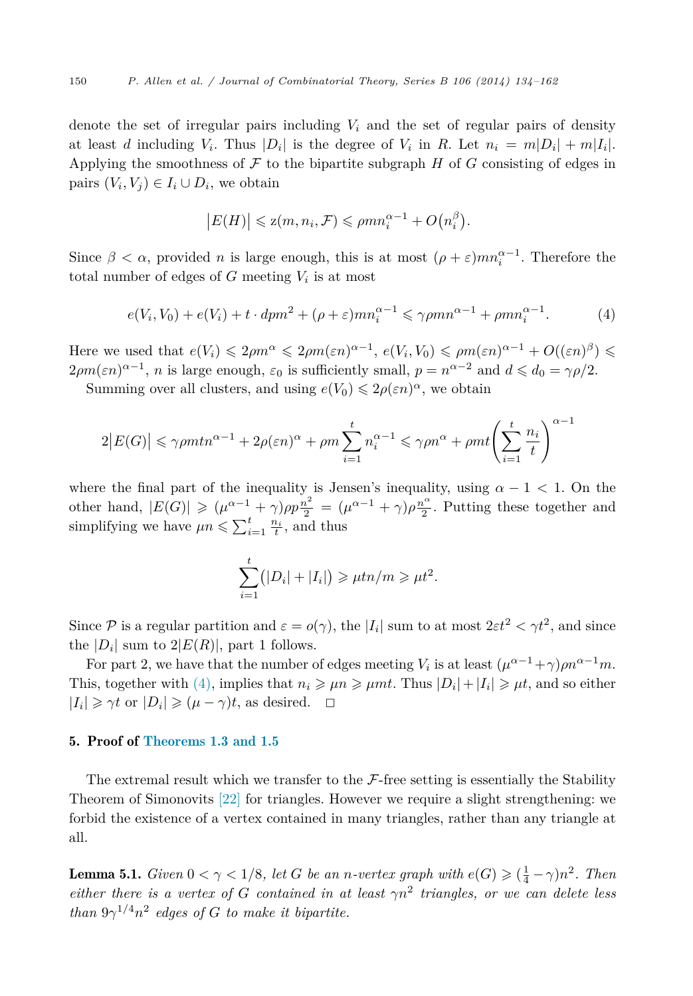<span id="page-16-0"></span>denote the set of irregular pairs including  $V_i$  and the set of regular pairs of density at least *d* including  $V_i$ . Thus  $|D_i|$  is the degree of  $V_i$  in *R*. Let  $n_i = m|D_i| + m|I_i|$ . Applying the smoothness of  $\mathcal F$  to the bipartite subgraph  $H$  of  $G$  consisting of edges in pairs  $(V_i, V_j) \in I_i \cup D_i$ , we obtain

$$
|E(H)| \leqslant z(m, n_i, \mathcal{F}) \leqslant \rho mn_i^{\alpha - 1} + O(n_i^{\beta}).
$$

Since  $\beta < \alpha$ , provided *n* is large enough, this is at most  $(\rho + \varepsilon)mn_i^{\alpha-1}$ . Therefore the total number of edges of  $G$  meeting  $V_i$  is at most

$$
e(V_i, V_0) + e(V_i) + t \cdot dpm^2 + (\rho + \varepsilon)mn_i^{\alpha - 1} \leq \gamma \rho mn^{\alpha - 1} + \rho mn_i^{\alpha - 1}.
$$
 (4)

Here we used that  $e(V_i) \leq 2\rho m^{\alpha} \leq 2\rho m(\varepsilon n)^{\alpha-1}, e(V_i, V_0) \leq \rho m(\varepsilon n)^{\alpha-1} + O((\varepsilon n)^{\beta}) \leq$  $2\rho m(\varepsilon n)^{\alpha-1}$ , *n* is large enough,  $\varepsilon_0$  is sufficiently small,  $p = n^{\alpha-2}$  and  $d \leq d_0 = \gamma \rho/2$ .

Summing over all clusters, and using  $e(V_0) \leq 2\rho(\varepsilon n)^\alpha$ , we obtain

$$
2|E(G)| \leq \gamma \rho m t n^{\alpha - 1} + 2\rho(\varepsilon n)^{\alpha} + \rho m \sum_{i=1}^{t} n_i^{\alpha - 1} \leq \gamma \rho n^{\alpha} + \rho m t \left(\sum_{i=1}^{t} \frac{n_i}{t}\right)^{\alpha - 1}
$$

where the final part of the inequality is Jensen's inequality, using  $\alpha - 1 < 1$ . On the other hand,  $|E(G)| \geq (\mu^{\alpha-1} + \gamma)\rho p \frac{n^2}{2} = (\mu^{\alpha-1} + \gamma)\rho \frac{n^{\alpha}}{2}$ . Putting these together and simplifying we have  $\mu n \leq \sum_{i=1}^{t} \frac{n_i}{t}$ , and thus

$$
\sum_{i=1}^t (|D_i|+|I_i|) \geq \mu t n/m \geq \mu t^2.
$$

Since P is a regular partition and  $\varepsilon = o(\gamma)$ , the  $|I_i|$  sum to at most  $2\varepsilon t^2 < \gamma t^2$ , and since the  $|D_i|$  sum to  $2|E(R)|$ , part 1 follows.

For part 2, we have that the number of edges meeting  $V_i$  is at least  $(\mu^{\alpha-1} + \gamma)\rho n^{\alpha-1}m$ . This, together with (4), implies that  $n_i \ge \mu n \ge \mu mt$ . Thus  $|D_i| + |I_i| \ge \mu t$ , and so either  $|I_i| \ge \gamma t$  or  $|D_i| \ge (\mu - \gamma)t$ , as desired.  $\Box$ 

#### 5. Proof of [Theorems 1.3 and 1.5](#page-3-0)

The extremal result which we transfer to the  $\mathcal{F}\text{-free}$  setting is essentially the Stability Theorem of Simonovits [\[22\]](#page-27-0) for triangles. However we require a slight strengthening: we forbid the existence of a vertex contained in many triangles, rather than any triangle at all.

**Lemma 5.1.** *Given*  $0 < \gamma < 1/8$ *, let G be an n*-vertex graph with  $e(G) \geq (\frac{1}{4} - \gamma)n^2$ . Then *either there is a vertex of G contained in at least*  $\gamma n^2$  *triangles, or we can delete less than*  $9\gamma^{1/4}n^2$  *edges of G to make it bipartite.*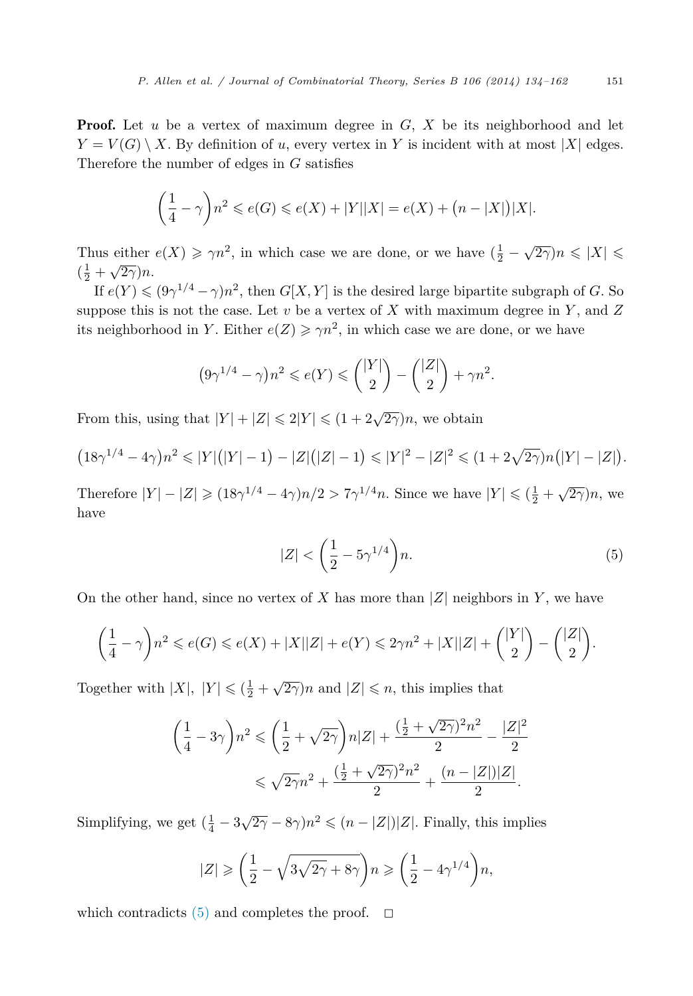**Proof.** Let *u* be a vertex of maximum degree in *G*, *X* be its neighborhood and let  $Y = V(G) \setminus X$ . By definition of *u*, every vertex in *Y* is incident with at most |*X*| edges. Therefore the number of edges in *G* satisfies

$$
\left(\frac{1}{4} - \gamma\right) n^2 \leqslant e(G) \leqslant e(X) + |Y||X| = e(X) + \left(n - |X|\right)|X|.
$$

Thus either  $e(X) \ge \gamma n^2$ , in which case we are done, or we have  $(\frac{1}{2} - \sqrt{2\gamma})n \le |X| \le$  $\left(\frac{1}{2} + \sqrt{2\gamma}\right)n$ .

If  $e(Y) \leq (9\gamma^{1/4} - \gamma)n^2$ , then  $G[X, Y]$  is the desired large bipartite subgraph of *G*. So suppose this is not the case. Let *v* be a vertex of *X* with maximum degree in *Y* , and *Z* its neighborhood in *Y*. Either  $e(Z) \geq \gamma n^2$ , in which case we are done, or we have

$$
(9\gamma^{1/4} - \gamma)n^2 \le e(Y) \le {|\mathcal{Y}|\choose 2} - {|Z|\choose 2} + \gamma n^2.
$$

From this, using that  $|Y| + |Z| \le 2|Y| \le (1 + 2\sqrt{2\gamma})n$ , we obtain

$$
(18\gamma^{1/4} - 4\gamma)n^2 \leq |Y|(|Y| - 1) - |Z|(|Z| - 1) \leq |Y|^2 - |Z|^2 \leq (1 + 2\sqrt{2\gamma})n(|Y| - |Z|).
$$

Therefore  $|Y| - |Z| \geq (18\gamma^{1/4} - 4\gamma)n/2 > 7\gamma^{1/4}n$ . Since we have  $|Y| \leq (\frac{1}{2} + \sqrt{2\gamma})n$ , we have

$$
|Z| < \left(\frac{1}{2} - 5\gamma^{1/4}\right)n.\tag{5}
$$

On the other hand, since no vertex of *X* has more than  $|Z|$  neighbors in *Y*, we have

$$
\bigg(\frac{1}{4}-\gamma\bigg)n^2\leqslant e(G)\leqslant e(X)+|X||Z|+e(Y)\leqslant 2\gamma n^2+|X||Z|+\binom{|Y|}{2}-\binom{|Z|}{2}.
$$

Together with  $|X|$ ,  $|Y| \leq ( \frac{1}{2} + \sqrt{2\gamma})n$  and  $|Z| \leq n$ , this implies that

$$
\left(\frac{1}{4} - 3\gamma\right) n^2 \leqslant \left(\frac{1}{2} + \sqrt{2\gamma}\right) n |Z| + \frac{\left(\frac{1}{2} + \sqrt{2\gamma}\right)^2 n^2}{2} - \frac{|Z|^2}{2}
$$
  

$$
\leqslant \sqrt{2\gamma} n^2 + \frac{\left(\frac{1}{2} + \sqrt{2\gamma}\right)^2 n^2}{2} + \frac{(n - |Z|)|Z|}{2}.
$$

Simplifying, we get  $(\frac{1}{4} - 3\sqrt{2\gamma} - 8\gamma)n^2 \leq (n - |Z|)|Z|$ . Finally, this implies

$$
|Z| \ge \left(\frac{1}{2} - \sqrt{3\sqrt{2\gamma} + 8\gamma}\right) n \ge \left(\frac{1}{2} - 4\gamma^{1/4}\right) n,
$$

which contradicts  $(5)$  and completes the proof.  $\Box$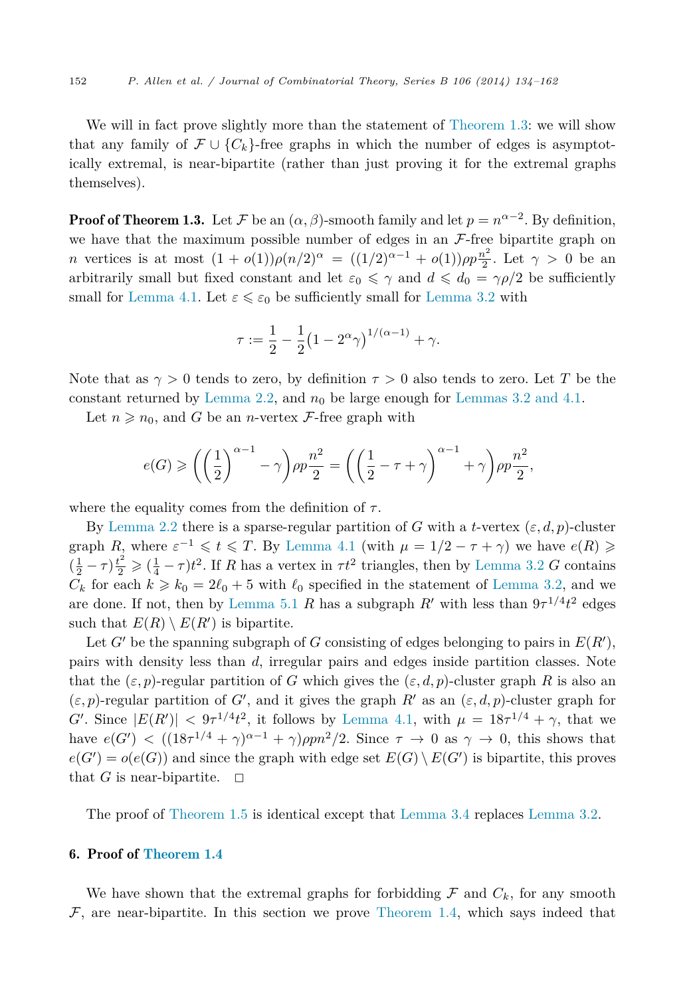We will in fact prove slightly more than the statement of [Theorem 1.3:](#page-3-0) we will show that any family of  $\mathcal{F}\cup\{C_k\}$ -free graphs in which the number of edges is asymptotically extremal, is near-bipartite (rather than just proving it for the extremal graphs themselves).

**Proof of Theorem 1.3.** Let F be an  $(\alpha, \beta)$ -smooth family and let  $p = n^{\alpha-2}$ . By definition, we have that the maximum possible number of edges in an  $\mathcal{F}\text{-free bipartite graph on}$ *n* vertices is at most  $(1 + o(1))\rho(n/2)^{\alpha} = ((1/2)^{\alpha-1} + o(1))\rho p \frac{n^2}{2}$ . Let  $\gamma > 0$  be an arbitrarily small but fixed constant and let  $\varepsilon_0 \leq \gamma$  and  $d \leq d_0 = \gamma \rho/2$  be sufficiently small for [Lemma 4.1.](#page-15-0) Let  $\varepsilon \leq \varepsilon_0$  be sufficiently small for [Lemma 3.2](#page-10-0) with

$$
\tau := \frac{1}{2} - \frac{1}{2} (1 - 2^{\alpha} \gamma)^{1/(\alpha - 1)} + \gamma.
$$

Note that as  $\gamma > 0$  tends to zero, by definition  $\tau > 0$  also tends to zero. Let T be the constant returned by [Lemma 2.2,](#page-7-0) and  $n_0$  be large enough for [Lemmas 3.2 and 4.1.](#page-10-0)

Let  $n \geq n_0$ , and *G* be an *n*-vertex *F*-free graph with

$$
e(G) \ge \left( \left( \frac{1}{2} \right)^{\alpha - 1} - \gamma \right) \rho p \frac{n^2}{2} = \left( \left( \frac{1}{2} - \tau + \gamma \right)^{\alpha - 1} + \gamma \right) \rho p \frac{n^2}{2},
$$

where the equality comes from the definition of  $\tau$ .

By [Lemma 2.2](#page-7-0) there is a sparse-regular partition of *G* with a *t*-vertex  $(\varepsilon, d, p)$ -cluster graph *R*, where  $\varepsilon^{-1} \le t \le T$ . By [Lemma 4.1](#page-15-0) (with  $\mu = 1/2 - \tau + \gamma$ ) we have  $e(R) \ge$  $(\frac{1}{2} - \tau) \frac{t^2}{2} \geq (\frac{1}{4} - \tau) t^2$ . If *R* has a vertex in  $\tau t^2$  triangles, then by [Lemma 3.2](#page-10-0) *G* contains  $C_k$  for each  $k \geq k_0 = 2\ell_0 + 5$  with  $\ell_0$  specified in the statement of [Lemma 3.2,](#page-10-0) and we are done. If not, then by [Lemma 5.1](#page-16-0) *R* has a subgraph *R'* with less than  $9\tau^{1/4}t^2$  edges such that  $E(R) \setminus E(R')$  is bipartite.

Let *G*<sup> $\prime$ </sup> be the spanning subgraph of *G* consisting of edges belonging to pairs in  $E(R')$ , pairs with density less than *d*, irregular pairs and edges inside partition classes. Note that the  $(\varepsilon, p)$ -regular partition of *G* which gives the  $(\varepsilon, d, p)$ -cluster graph *R* is also an  $(\varepsilon, p)$ -regular partition of *G*<sup>'</sup>, and it gives the graph *R*<sup>'</sup> as an  $(\varepsilon, d, p)$ -cluster graph for *G*<sup> $\ell$ </sup>. Since  $|E(R')| < 9\tau^{1/4}t^2$ , it follows by [Lemma 4.1,](#page-15-0) with  $\mu = 18\tau^{1/4} + \gamma$ , that we have  $e(G') < ((18\tau^{1/4} + \gamma)^{\alpha-1} + \gamma) \rho p n^2/2$ . Since  $\tau \to 0$  as  $\gamma \to 0$ , this shows that  $e(G') = o(e(G))$  and since the graph with edge set  $E(G) \setminus E(G')$  is bipartite, this proves that *G* is near-bipartite.  $\Box$ 

The proof of [Theorem](#page-4-0) 1.5 is identical except that [Lemma 3.4](#page-14-0) replaces [Lemma 3.2.](#page-10-0)

#### 6. Proof of [Theorem 1.4](#page-4-0)

We have shown that the extremal graphs for forbidding  $\mathcal F$  and  $C_k$ , for any smooth  $\mathcal F$ , are near-bipartite. In this section we prove [Theorem 1.4,](#page-4-0) which says indeed that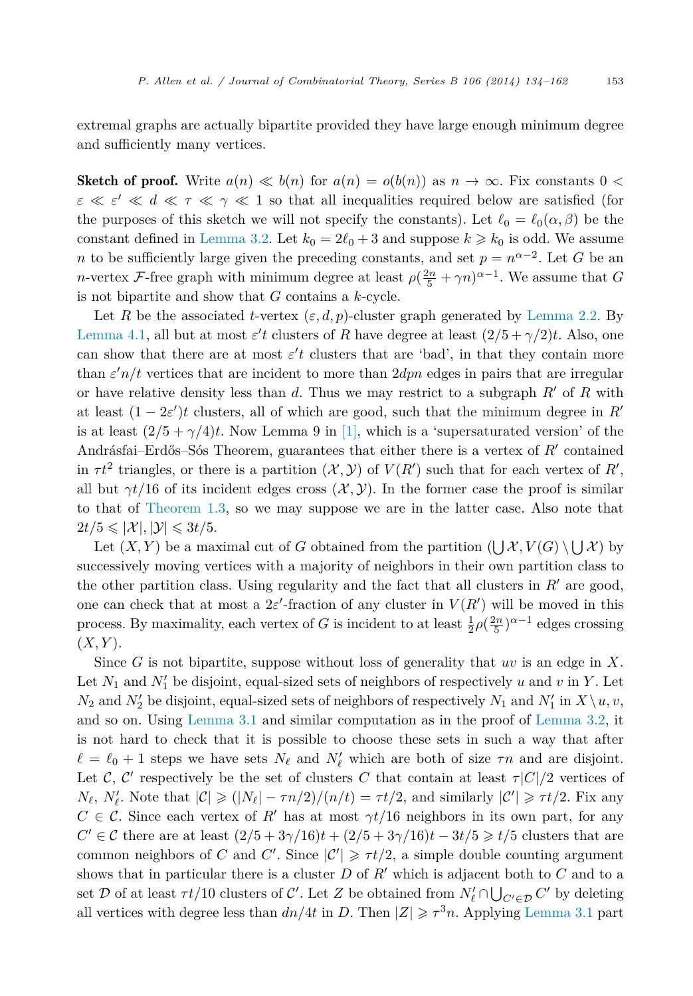extremal graphs are actually bipartite provided they have large enough minimum degree and sufficiently many vertices.

**Sketch of proof.** Write  $a(n) \ll b(n)$  for  $a(n) = o(b(n))$  as  $n \to \infty$ . Fix constants 0 <  $\varepsilon \ll \varepsilon' \ll d \ll \tau \ll \gamma \ll 1$  so that all inequalities required below are satisfied (for the purposes of this sketch we will not specify the constants). Let  $\ell_0 = \ell_0(\alpha, \beta)$  be the constant defined in [Lemma 3.2.](#page-10-0) Let  $k_0 = 2\ell_0 + 3$  and suppose  $k \geq k_0$  is odd. We assume *n* to be sufficiently large given the preceding constants, and set  $p = n^{\alpha-2}$ . Let *G* be an *n*-vertex *F*-free graph with minimum degree at least  $\rho(\frac{2n}{5} + \gamma n)^{\alpha-1}$ . We assume that *G* is not bipartite and show that *G* contains a *k*-cycle.

Let *R* be the associated *t*-vertex  $(\varepsilon, d, p)$ -cluster graph generated by [Lemma 2.2.](#page-7-0) By [Lemma 4.1,](#page-15-0) all but at most  $\varepsilon'$ t clusters of *R* have degree at least  $(2/5 + \gamma/2)t$ . Also, one can show that there are at most  $\varepsilon'$  clusters that are 'bad', in that they contain more than *ε n/t* vertices that are incident to more than 2*dpn* edges in pairs that are irregular or have relative density less than  $d$ . Thus we may restrict to a subgraph  $R'$  of  $R$  with at least  $(1 - 2\varepsilon')t$  clusters, all of which are good, such that the minimum degree in  $R'$ is at least  $(2/5 + \gamma/4)t$ . Now Lemma 9 in [\[1\],](#page-27-0) which is a 'supersaturated version' of the Andrásfai–Erdős–Sós Theorem, guarantees that either there is a vertex of *R* contained in  $\tau t^2$  triangles, or there is a partition  $(\mathcal{X}, \mathcal{Y})$  of  $V(R')$  such that for each vertex of  $R'$ , all but  $\gamma t/16$  of its incident edges cross  $(\mathcal{X}, \mathcal{Y})$ . In the former case the proof is similar to that of [Theorem 1.3,](#page-3-0) so we may suppose we are in the latter case. Also note that  $2t/5 \leqslant |\mathcal{X}|, |\mathcal{Y}| \leqslant 3t/5.$ 

Let  $(X, Y)$  be a maximal cut of *G* obtained from the partition  $(\bigcup \mathcal{X}, V(G) \setminus \bigcup \mathcal{X})$  by successively moving vertices with a majority of neighbors in their own partition class to the other partition class. Using regularity and the fact that all clusters in  $R'$  are good, one can check that at most a  $2\varepsilon'$ -fraction of any cluster in  $V(R')$  will be moved in this process. By maximality, each vertex of *G* is incident to at least  $\frac{1}{2}\rho(\frac{2n}{5})^{\alpha-1}$  edges crossing  $(X, Y)$ .

Since *G* is not bipartite, suppose without loss of generality that *uv* is an edge in *X*. Let  $N_1$  and  $N'_1$  be disjoint, equal-sized sets of neighbors of respectively *u* and *v* in *Y* . Let  $N_2$  and  $N'_2$  be disjoint, equal-sized sets of neighbors of respectively  $N_1$  and  $N'_1$  in  $X \setminus u, v$ , and so on. Using [Lemma 3.1](#page-9-0) and similar computation as in the proof of [Lemma 3.2,](#page-10-0) it is not hard to check that it is possible to choose these sets in such a way that after  $\ell = \ell_0 + 1$  steps we have sets  $N_{\ell}$  and  $N'_{\ell}$  which are both of size  $\tau n$  and are disjoint. Let C, C' respectively be the set of clusters C that contain at least  $\tau |C|/2$  vertices of  $N_{\ell}$ ,  $N'_{\ell}$ . Note that  $|C| \geq (|N_{\ell}| - \tau n/2)/(n/t) = \tau t/2$ , and similarly  $|C'| \geq \tau t/2$ . Fix any  $C \in \mathcal{C}$ . Since each vertex of *R'* has at most  $\gamma t/16$  neighbors in its own part, for any *C*<sup> $′$ </sup> ∈ *C* there are at least  $(2/5 + 3γ/16)t + (2/5 + 3γ/16)t - 3t/5 ≥ t/5$  clusters that are common neighbors of *C* and *C'*. Since  $|\mathcal{C}'| \geq \tau t/2$ , a simple double counting argument shows that in particular there is a cluster *D* of *R* which is adjacent both to *C* and to a set D of at least  $\tau t/10$  clusters of C'. Let Z be obtained from  $N'_{\ell} \cap \bigcup_{C' \in \mathcal{D}} C'$  by deleting all vertices with degree less than  $dn/4t$  in *D*. Then  $|Z| \geq \tau^3 n$ . Applying [Lemma 3.1](#page-9-0) part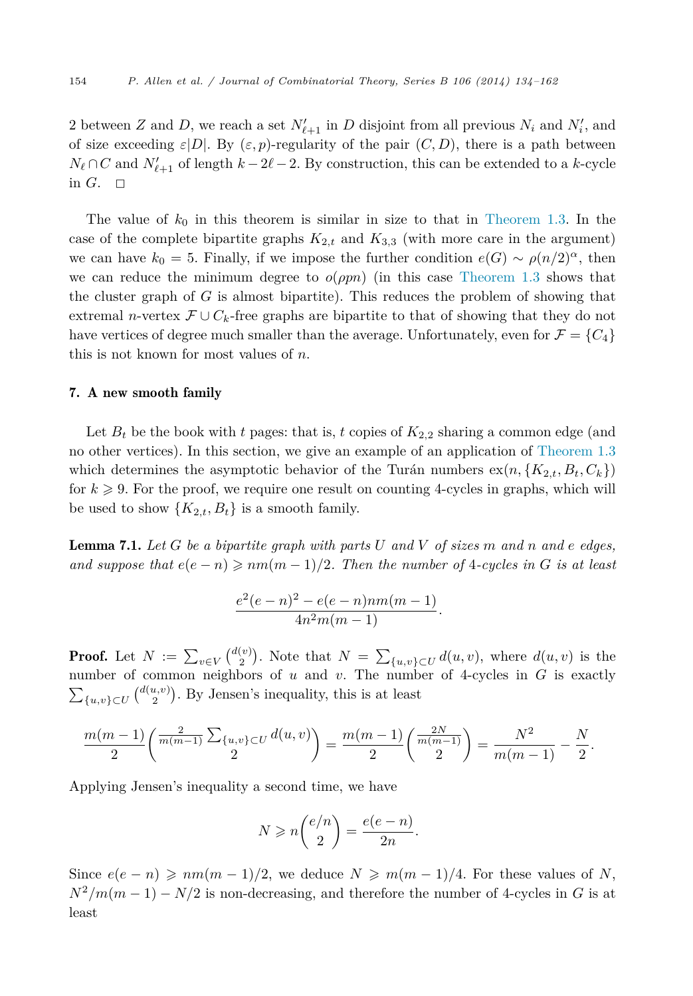<span id="page-20-0"></span>2 between *Z* and *D*, we reach a set  $N'_{\ell+1}$  in *D* disjoint from all previous  $N_i$  and  $N'_i$ , and of size exceeding  $\varepsilon|D|$ . By  $(\varepsilon, p)$ -regularity of the pair  $(C, D)$ , there is a path between *N*<sub> $\ell$ </sub> ∩ *C* and *N*<sup> $\ell$ </sup><sub> $\ell+1$ </sub> of length *k* − 2 $\ell$  − 2. By construction, this can be extended to a *k*-cycle in  $G$ .  $\square$ 

The value of  $k_0$  in this theorem is similar in size to that in [Theorem 1.3.](#page-3-0) In the case of the complete bipartite graphs  $K_{2,t}$  and  $K_{3,3}$  (with more care in the argument) we can have  $k_0 = 5$ . Finally, if we impose the further condition  $e(G) \sim \rho(n/2)^{\alpha}$ , then we can reduce the minimum degree to  $o(ppn)$  (in this case [Theorem 1.3](#page-3-0) shows that the cluster graph of *G* is almost bipartite). This reduces the problem of showing that extremal *n*-vertex  $\mathcal{F} \cup C_k$ -free graphs are bipartite to that of showing that they do not have vertices of degree much smaller than the average. Unfortunately, even for  $\mathcal{F} = \{C_4\}$ this is not known for most values of *n*.

#### 7. A new smooth family

Let  $B_t$  be the book with *t* pages: that is, *t* copies of  $K_{2,2}$  sharing a common edge (and no other vertices). In this section, we give an example of an application of [Theorem 1.3](#page-3-0) which determines the asymptotic behavior of the Turán numbers  $ex(n, \{K_{2,t}, B_t, C_k\})$ for  $k \geqslant 9$ . For the proof, we require one result on counting 4-cycles in graphs, which will be used to show  ${K_{2,t}, B_t}$  is a smooth family.

Lemma 7.1. *Let G be a bipartite graph with parts U and V of sizes m and n and e edges, and suppose that*  $e(e - n) \geq n m(m - 1)/2$ . Then the number of 4-cycles in G is at least

$$
\frac{e^2(e-n)^2 - e(e-n)nm(m-1)}{4n^2m(m-1)}.
$$

**Proof.** Let  $N := \sum_{v \in V} {d(v) \choose 2}$ . Note that  $N = \sum_{\{u,v\} \subset U} d(u,v)$ , where  $d(u,v)$  is the number of common neighbors of *u* and *v*. The number of 4-cycles in *G* is exactly  $\sum_{\{u,v\}\subset U} \binom{d(u,v)}{2}$ . By Jensen's inequality, this is at least

$$
\frac{m(m-1)}{2}\left(\frac{\frac{2}{m(m-1)}\sum_{\{u,v\}\subset U}d(u,v)}{2}\right)=\frac{m(m-1)}{2}\left(\frac{\frac{2N}{m(m-1)}}{2}\right)=\frac{N^2}{m(m-1)}-\frac{N}{2}.
$$

Applying Jensen's inequality a second time, we have

$$
N \geqslant n \binom{e/n}{2} = \frac{e(e-n)}{2n}.
$$

Since  $e(e - n) \geqslant nm(m - 1)/2$ , we deduce  $N \geqslant m(m - 1)/4$ . For these values of *N*,  $N^2/m(m-1) - N/2$  is non-decreasing, and therefore the number of 4-cycles in *G* is at least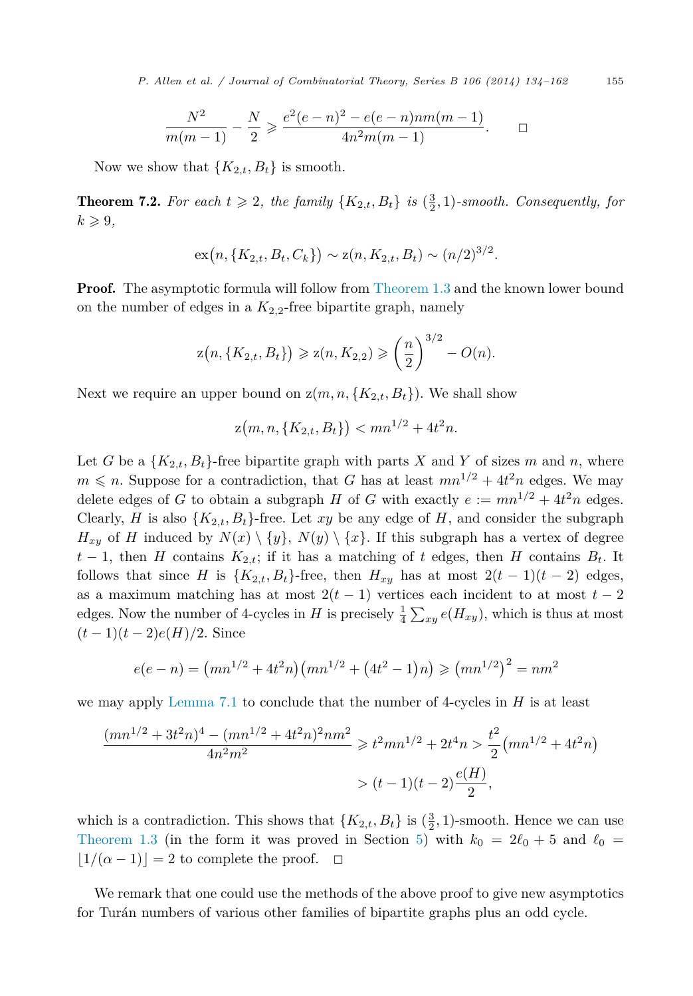*P. Al len et al. / Journal of Combinatorial Theory, Series B 106 (2014) 134–162* 155

$$
\frac{N^2}{m(m-1)} - \frac{N}{2} \ge \frac{e^2(e-n)^2 - e(e-n)nm(m-1)}{4n^2m(m-1)}.
$$

Now we show that  ${K_{2,t}, B_t}$  is smooth.

**Theorem 7.2.** For each  $t \geq 2$ , the family  $\{K_{2,t}, B_t\}$  is  $(\frac{3}{2}, 1)$ -smooth. Consequently, for  $k \geqslant 9$ ,

$$
\mathrm{ex}(n, \{K_{2,t}, B_t, C_k\}) \sim \mathrm{z}(n, K_{2,t}, B_t) \sim (n/2)^{3/2}.
$$

**Proof.** The asymptotic formula will follow from [Theorem 1.3](#page-3-0) and the known lower bound on the number of edges in a  $K_{2,2}$ -free bipartite graph, namely

$$
z(n, \{K_{2,t}, B_t\}) \ge z(n, K_{2,2}) \ge \left(\frac{n}{2}\right)^{3/2} - O(n).
$$

Next we require an upper bound on  $z(m, n, \{K_{2,t}, B_t\})$ . We shall show

$$
z(m, n, \{K_{2,t}, B_t\}) < mn^{1/2} + 4t^2n.
$$

Let *G* be a  $\{K_{2,t}, B_t\}$ -free bipartite graph with parts *X* and *Y* of sizes *m* and *n*, where  $m \leq n$ . Suppose for a contradiction, that *G* has at least  $mn^{1/2} + 4t^2n$  edges. We may delete edges of *G* to obtain a subgraph *H* of *G* with exactly  $e := mn^{1/2} + 4t^2n$  edges. Clearly, *H* is also  $\{K_{2,t}, B_t\}$ -free. Let *xy* be any edge of *H*, and consider the subgraph  $H_{xy}$  of *H* induced by  $N(x) \setminus \{y\}, N(y) \setminus \{x\}$ . If this subgraph has a vertex of degree  $t-1$ , then *H* contains  $K_{2,t}$ ; if it has a matching of *t* edges, then *H* contains  $B_t$ . It follows that since *H* is  $\{K_{2,t}, B_t\}$ -free, then  $H_{xy}$  has at most  $2(t-1)(t-2)$  edges, as a maximum matching has at most  $2(t-1)$  vertices each incident to at most  $t-2$ edges. Now the number of 4-cycles in *H* is precisely  $\frac{1}{4} \sum_{xy} e(H_{xy})$ , which is thus at most  $(t-1)(t-2)e(H)/2$ . Since

$$
e(e - n) = (mn^{1/2} + 4t^2n)(mn^{1/2} + (4t^2 - 1)n) \ge (mn^{1/2})^2 = nm^2
$$

we may apply [Lemma 7.1](#page-20-0) to conclude that the number of 4-cycles in *H* is at least

$$
\frac{(mn^{1/2} + 3t^2n)^4 - (mn^{1/2} + 4t^2n)^2nm^2}{4n^2m^2} \ge t^2mn^{1/2} + 2t^4n > \frac{t^2}{2}(mn^{1/2} + 4t^2n)
$$

$$
> (t-1)(t-2)\frac{e(H)}{2},
$$

which is a contradiction. This shows that  ${K_{2,t}, B_t}$  is  $(\frac{3}{2}, 1)$ -smooth. Hence we can use [Theorem 1.3](#page-3-0) (in the form it was proved in Section [5\)](#page-16-0) with  $k_0 = 2\ell_0 + 5$  and  $\ell_0 =$  $|1/(\alpha-1)|=2$  to complete the proof.  $\Box$ 

We remark that one could use the methods of the above proof to give new asymptotics for Turán numbers of various other families of bipartite graphs plus an odd cycle.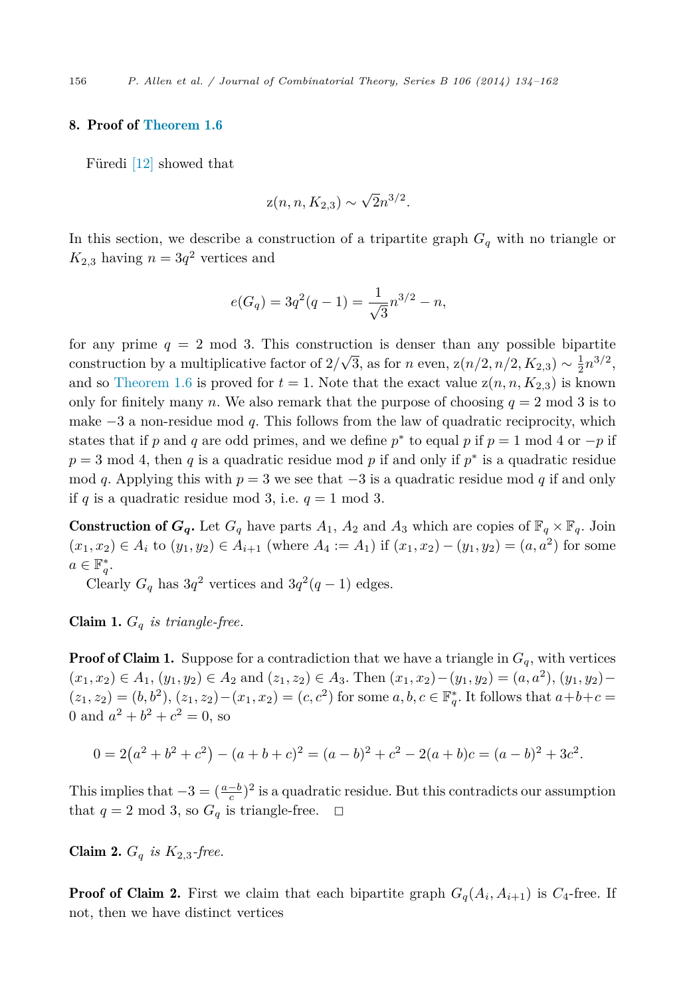#### 8. Proof of [Theorem 1.6](#page-5-0)

Füredi [\[12\]](#page-27-0) showed that

$$
z(n, n, K_{2,3}) \sim \sqrt{2}n^{3/2}.
$$

In this section, we describe a construction of a tripartite graph *G<sup>q</sup>* with no triangle or  $K_{2,3}$  having  $n = 3q^2$  vertices and

$$
e(G_q) = 3q^2(q-1) = \frac{1}{\sqrt{3}}n^{3/2} - n,
$$

for any prime  $q = 2 \mod 3$ . This construction is denser than any possible bipartite construction by a multiplicative factor of  $2/\sqrt{3}$ , as for *n* even,  $z(n/2, n/2, K_{2,3}) \sim \frac{1}{2} n^{3/2}$ , and so [Theorem 1.6](#page-5-0) is proved for  $t = 1$ . Note that the exact value  $z(n, n, K_{2,3})$  is known only for finitely many *n*. We also remark that the purpose of choosing  $q = 2 \text{ mod } 3$  is to make −3 a non-residue mod *q*. This follows from the law of quadratic reciprocity, which states that if *p* and *q* are odd primes, and we define  $p^*$  to equal *p* if  $p = 1$  mod 4 or  $-p$  if *p* = 3 mod 4, then *q* is a quadratic residue mod *p* if and only if *p*<sup>∗</sup> is a quadratic residue mod *q*. Applying this with  $p = 3$  we see that  $-3$  is a quadratic residue mod *q* if and only if *q* is a quadratic residue mod 3, i.e.  $q = 1$  mod 3.

**Construction of**  $G_q$ **.** Let  $G_q$  have parts  $A_1$ ,  $A_2$  and  $A_3$  which are copies of  $\mathbb{F}_q \times \mathbb{F}_q$ . Join  $(x_1, x_2) \in A_i$  to  $(y_1, y_2) \in A_{i+1}$  (where  $A_4 := A_1$ ) if  $(x_1, x_2) - (y_1, y_2) = (a, a^2)$  for some  $a \in \mathbb{F}_q^*$ .

Clearly  $G_q$  has  $3q^2$  vertices and  $3q^2(q-1)$  edges.

Claim 1. *G<sup>q</sup> is triangle-free.*

**Proof of Claim 1.** Suppose for a contradiction that we have a triangle in  $G_q$ , with vertices  $(x_1, x_2)$  ∈  $A_1$ ,  $(y_1, y_2)$  ∈  $A_2$  and  $(z_1, z_2)$  ∈  $A_3$ . Then  $(x_1, x_2) - (y_1, y_2) = (a, a^2)$ ,  $(y_1, y_2) (z_1, z_2) = (b, b^2), (z_1, z_2) - (x_1, x_2) = (c, c^2)$  for some  $a, b, c \in \mathbb{F}_q^*$ . It follows that  $a+b+c =$ 0 and  $a^2 + b^2 + c^2 = 0$ , so

$$
0 = 2(a2 + b2 + c2) - (a + b + c)2 = (a - b)2 + c2 - 2(a + b)c = (a - b)2 + 3c2.
$$

This implies that  $-3 = (\frac{a-b}{c})^2$  is a quadratic residue. But this contradicts our assumption that  $q = 2 \mod 3$ , so  $G_q$  is triangle-free.  $\Box$ 

**Claim 2.**  $G_q$  *is*  $K_{2,3}$ -free.

**Proof of Claim 2.** First we claim that each bipartite graph  $G_q(A_i, A_{i+1})$  is  $C_4$ -free. If not, then we have distinct vertices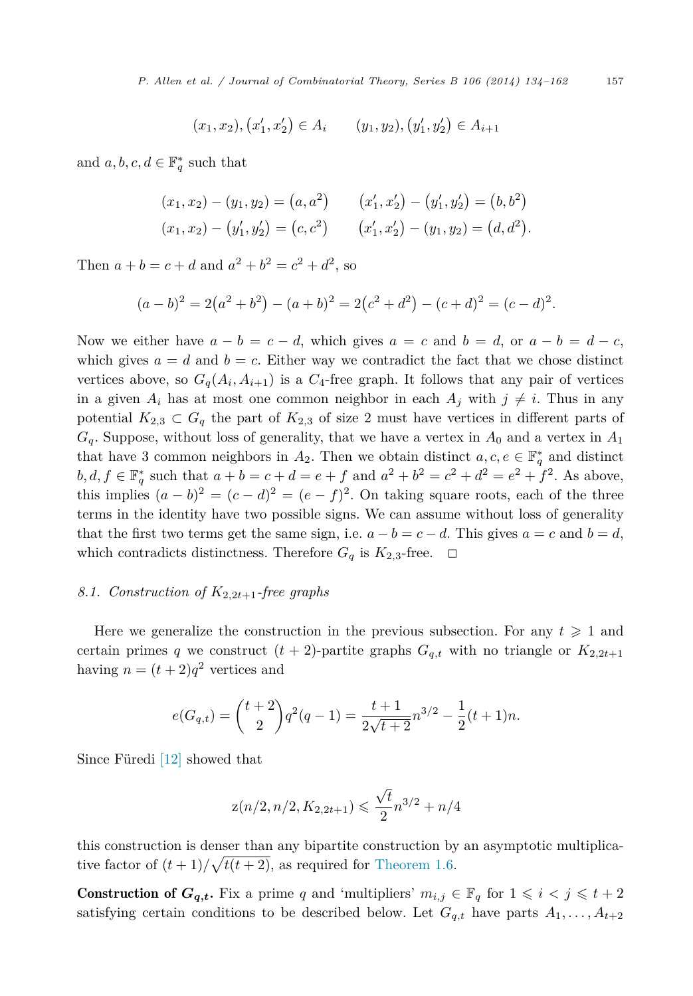$$
(x_1, x_2), (x'_1, x'_2) \in A_i
$$
  $(y_1, y_2), (y'_1, y'_2) \in A_{i+1}$ 

and  $a, b, c, d \in \mathbb{F}_q^*$  such that

$$
(x_1, x_2) - (y_1, y_2) = (a, a^2) \qquad (x'_1, x'_2) - (y'_1, y'_2) = (b, b^2)
$$
  

$$
(x_1, x_2) - (y'_1, y'_2) = (c, c^2) \qquad (x'_1, x'_2) - (y_1, y_2) = (d, d^2).
$$

Then  $a + b = c + d$  and  $a^2 + b^2 = c^2 + d^2$ , so

$$
(a-b)^2 = 2(a^2 + b^2) - (a+b)^2 = 2(c^2 + d^2) - (c+d)^2 = (c-d)^2.
$$

Now we either have  $a - b = c - d$ , which gives  $a = c$  and  $b = d$ , or  $a - b = d - c$ , which gives  $a = d$  and  $b = c$ . Either way we contradict the fact that we chose distinct vertices above, so  $G_q(A_i, A_{i+1})$  is a  $C_4$ -free graph. It follows that any pair of vertices in a given  $A_i$  has at most one common neighbor in each  $A_j$  with  $j \neq i$ . Thus in any potential  $K_{2,3} \subset G_q$  the part of  $K_{2,3}$  of size 2 must have vertices in different parts of  $G_q$ . Suppose, without loss of generality, that we have a vertex in  $A_0$  and a vertex in  $A_1$ that have 3 common neighbors in  $A_2$ . Then we obtain distinct  $a, c, e \in \mathbb{F}_q^*$  and distinct *b, d, f* ∈  $\mathbb{F}_q^*$  such that  $a + b = c + d = e + f$  and  $a^2 + b^2 = c^2 + d^2 = e^2 + f^2$ . As above, this implies  $(a - b)^2 = (c - d)^2 = (e - f)^2$ . On taking square roots, each of the three terms in the identity have two possible signs. We can assume without loss of generality that the first two terms get the same sign, i.e.  $a - b = c - d$ . This gives  $a = c$  and  $b = d$ , which contradicts distinctness. Therefore  $G_q$  is  $K_{2,3}$ -free.  $\Box$ 

### 8.1. Construction of  $K_{2,2t+1}$ -free graphs

Here we generalize the construction in the previous subsection. For any  $t \geq 1$  and certain primes *q* we construct  $(t + 2)$ -partite graphs  $G_{q,t}$  with no triangle or  $K_{2,2t+1}$ having  $n = (t+2)q^2$  vertices and

$$
e(G_{q,t}) = {t+2 \choose 2} q^2(q-1) = \frac{t+1}{2\sqrt{t+2}} n^{3/2} - \frac{1}{2}(t+1)n.
$$

Since Füredi [\[12\]](#page-27-0) showed that

$$
\mathrm{z}(n/2,n/2,K_{2,2t+1})\leqslant\frac{\sqrt{t}}{2}n^{3/2}+n/4
$$

this construction is denser than any bipartite construction by an asymptotic multiplicative factor of  $(t+1)/\sqrt{t(t+2)}$ , as required for [Theorem 1.6.](#page-5-0)

**Construction of**  $G_{q,t}$ **.** Fix a prime q and 'multipliers'  $m_{i,j} \in \mathbb{F}_q$  for  $1 \leq i \leq j \leq t+2$ satisfying certain conditions to be described below. Let  $G_{q,t}$  have parts  $A_1, \ldots, A_{t+2}$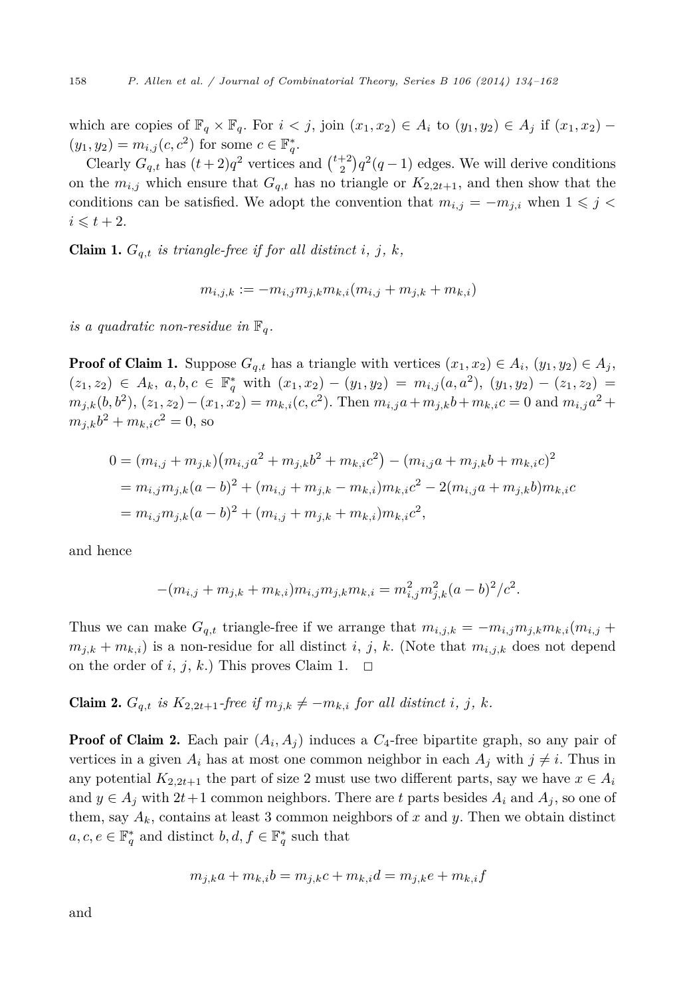which are copies of  $\mathbb{F}_q \times \mathbb{F}_q$ . For  $i < j$ , join  $(x_1, x_2) \in A_i$  to  $(y_1, y_2) \in A_j$  if  $(x_1, x_2)$  –  $(y_1, y_2) = m_{i,j}(c, c^2)$  for some  $c \in \mathbb{F}_q^*$ .

Clearly  $G_{q,t}$  has  $(t+2)q^2$  vertices and  $\binom{t+2}{2}q^2(q-1)$  edges. We will derive conditions on the  $m_{i,j}$  which ensure that  $G_{q,t}$  has no triangle or  $K_{2,2t+1}$ , and then show that the conditions can be satisfied. We adopt the convention that  $m_{i,j} = -m_{j,i}$  when  $1 \leq j < j$  $i \leqslant t+2$ .

**Claim 1.**  $G_{q,t}$  *is triangle-free if for all distinct i, j, k,* 

$$
m_{i,j,k}:=-m_{i,j}m_{j,k}m_{k,i}(m_{i,j}+m_{j,k}+m_{k,i})
$$

*is a quadratic non-residue in*  $\mathbb{F}_q$ .

**Proof of Claim 1.** Suppose  $G_{q,t}$  has a triangle with vertices  $(x_1, x_2) \in A_i$ ,  $(y_1, y_2) \in A_j$ ,  $(z_1, z_2) \in A_k, a, b, c \in \mathbb{F}_q^*$  with  $(x_1, x_2) - (y_1, y_2) = m_{i,j}(a, a^2), (y_1, y_2) - (z_1, z_2) =$  $m_{i,k}(b,b^2)$ ,  $(z_1, z_2) - (x_1, x_2) = m_{k,i}(c, c^2)$ . Then  $m_{i,j}a + m_{j,k}b + m_{k,i}c = 0$  and  $m_{i,j}a^2 +$  $m_{i,k}b^2 + m_{k,i}c^2 = 0$ , so

$$
0 = (m_{i,j} + m_{j,k})(m_{i,j}a^2 + m_{j,k}b^2 + m_{k,i}c^2) - (m_{i,j}a + m_{j,k}b + m_{k,i}c)^2
$$
  
=  $m_{i,j}m_{j,k}(a-b)^2 + (m_{i,j} + m_{j,k} - m_{k,i})m_{k,i}c^2 - 2(m_{i,j}a + m_{j,k}b)m_{k,i}c$   
=  $m_{i,j}m_{j,k}(a-b)^2 + (m_{i,j} + m_{j,k} + m_{k,i})m_{k,i}c^2$ ,

and hence

$$
-(m_{i,j} + m_{j,k} + m_{k,i})m_{i,j}m_{j,k}m_{k,i} = m_{i,j}^2m_{j,k}^2(a-b)^2/c^2.
$$

Thus we can make  $G_{q,t}$  triangle-free if we arrange that  $m_{i,j,k} = -m_{i,j}m_{j,k}m_{k,i}(m_{i,j} +$  $m_{j,k} + m_{k,i}$  is a non-residue for all distinct *i*, *j*, *k*. (Note that  $m_{i,j,k}$  does not depend on the order of *i*, *j*, *k*.) This proves Claim 1.  $\Box$ 

**Claim 2.** 
$$
G_{q,t}
$$
 is  $K_{2,2t+1}$ -free if  $m_{j,k} \neq -m_{k,i}$  for all distinct i, j, k.

**Proof of Claim 2.** Each pair  $(A_i, A_j)$  induces a  $C_4$ -free bipartite graph, so any pair of vertices in a given  $A_i$  has at most one common neighbor in each  $A_j$  with  $j \neq i$ . Thus in any potential  $K_{2,2t+1}$  the part of size 2 must use two different parts, say we have  $x \in A_i$ and  $y \in A_j$  with 2*t*+1 common neighbors. There are *t* parts besides  $A_i$  and  $A_j$ , so one of them, say  $A_k$ , contains at least 3 common neighbors of x and y. Then we obtain distinct  $a, c, e \in \mathbb{F}_q^*$  and distinct  $b, d, f \in \mathbb{F}_q^*$  such that

$$
m_{j,k}a + m_{k,i}b = m_{j,k}c + m_{k,i}d = m_{j,k}e + m_{k,i}f
$$

and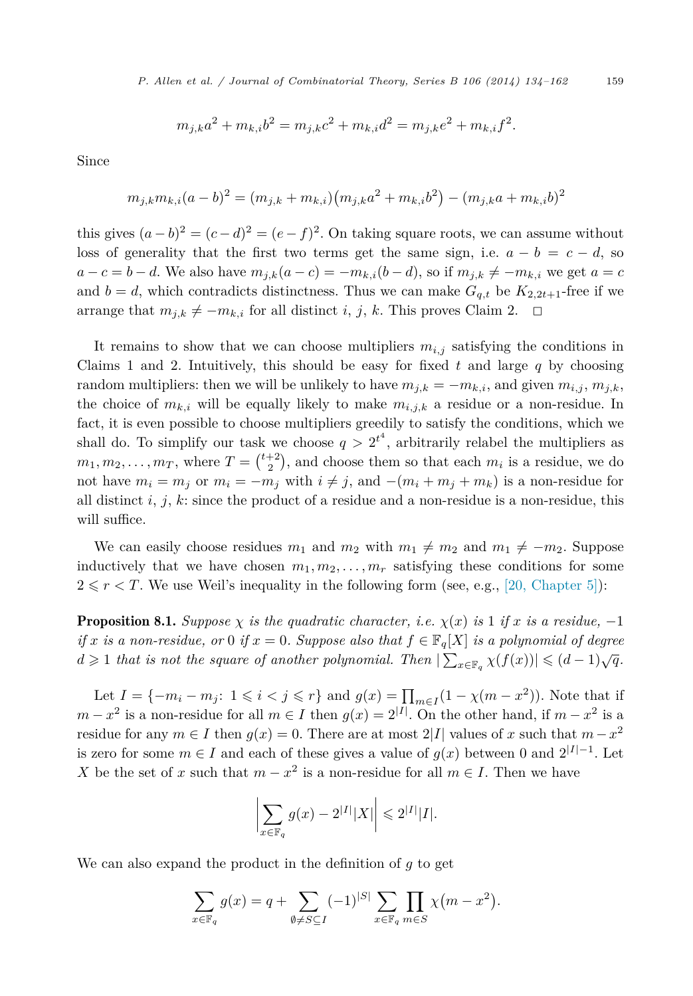*P. Al len et al. / Journal of Combinatorial Theory, Series B 106 (2014) 134–162* 159

$$
m_{j,k}a^2 + m_{k,i}b^2 = m_{j,k}c^2 + m_{k,i}d^2 = m_{j,k}e^2 + m_{k,i}f^2.
$$

Since

$$
m_{j,k}m_{k,i}(a-b)^2 = (m_{j,k} + m_{k,i})(m_{j,k}a^2 + m_{k,i}b^2) - (m_{j,k}a + m_{k,i}b)^2
$$

this gives  $(a - b)^2 = (c - d)^2 = (e - f)^2$ . On taking square roots, we can assume without loss of generality that the first two terms get the same sign, i.e.  $a - b = c - d$ , so  $a - c = b - d$ . We also have  $m_{j,k}(a - c) = -m_{k,i}(b - d)$ , so if  $m_{j,k} \neq -m_{k,i}$  we get  $a = c$ and  $b = d$ , which contradicts distinctness. Thus we can make  $G_{q,t}$  be  $K_{2,2t+1}$ -free if we arrange that  $m_{j,k} \neq -m_{k,i}$  for all distinct *i*, *j*, *k*. This proves Claim 2.  $\Box$ 

It remains to show that we can choose multipliers  $m_{i,j}$  satisfying the conditions in Claims 1 and 2. Intuitively, this should be easy for fixed *t* and large *q* by choosing random multipliers: then we will be unlikely to have  $m_{j,k} = -m_{k,i}$ , and given  $m_{i,j}$ ,  $m_{j,k}$ , the choice of  $m_{k,i}$  will be equally likely to make  $m_{i,j,k}$  a residue or a non-residue. In fact, it is even possible to choose multipliers greedily to satisfy the conditions, which we shall do. To simplify our task we choose  $q > 2^{t^4}$ , arbitrarily relabel the multipliers as  $m_1, m_2, \ldots, m_T$ , where  $T = \binom{t+2}{2}$ , and choose them so that each  $m_i$  is a residue, we do not have  $m_i = m_j$  or  $m_i = -m_j$  with  $i \neq j$ , and  $-(m_i + m_j + m_k)$  is a non-residue for all distinct  $i, j, k$ : since the product of a residue and a non-residue is a non-residue, this will suffice.

We can easily choose residues  $m_1$  and  $m_2$  with  $m_1 \neq m_2$  and  $m_1 \neq -m_2$ . Suppose inductively that we have chosen  $m_1, m_2, \ldots, m_r$  satisfying these conditions for some  $2 \leq r < T$ . We use Weil's inequality in the following form (see, e.g., [\[20, Chapter 5\]\)](#page-27-0):

**Proposition 8.1.** *Suppose*  $\chi$  *is the quadratic character, i.e.*  $\chi(x)$  *is* 1 *if*  $x$  *is a residue,* −1 *if x is a non-residue, or* 0 *if*  $x = 0$ *. Suppose also that*  $f \in \mathbb{F}_q[X]$  *is a polynomial of degree*  $d \geq 1$  *that is not the square of another polynomial. Then*  $|\sum_{x \in \mathbb{F}_q} \chi(f(x))| \leq (d-1)\sqrt{q}$ .

Let  $I = \{-m_i - m_j : 1 \le i \le j \le r\}$  and  $g(x) = \prod_{m \in I} (1 - \chi(m - x^2))$ . Note that if *m* − *x*<sup>2</sup> is a non-residue for all *m* ∈ *I* then  $g(x) = 2^{|I|}$ . On the other hand, if *m* − *x*<sup>2</sup> is a residue for any  $m \in I$  then  $g(x) = 0$ . There are at most 2|*I*| values of *x* such that  $m - x^2$ is zero for some  $m \in I$  and each of these gives a value of  $g(x)$  between 0 and  $2^{|I|-1}$ . Let *X* be the set of *x* such that  $m - x^2$  is a non-residue for all  $m \in I$ . Then we have

$$
\left|\sum_{x\in\mathbb{F}_q} g(x) - 2^{|I|} |X|\right| \leq 2^{|I|} |I|.
$$

We can also expand the product in the definition of *g* to get

$$
\sum_{x \in \mathbb{F}_q} g(x) = q + \sum_{\emptyset \neq S \subseteq I} (-1)^{|S|} \sum_{x \in \mathbb{F}_q} \prod_{m \in S} \chi(m - x^2).
$$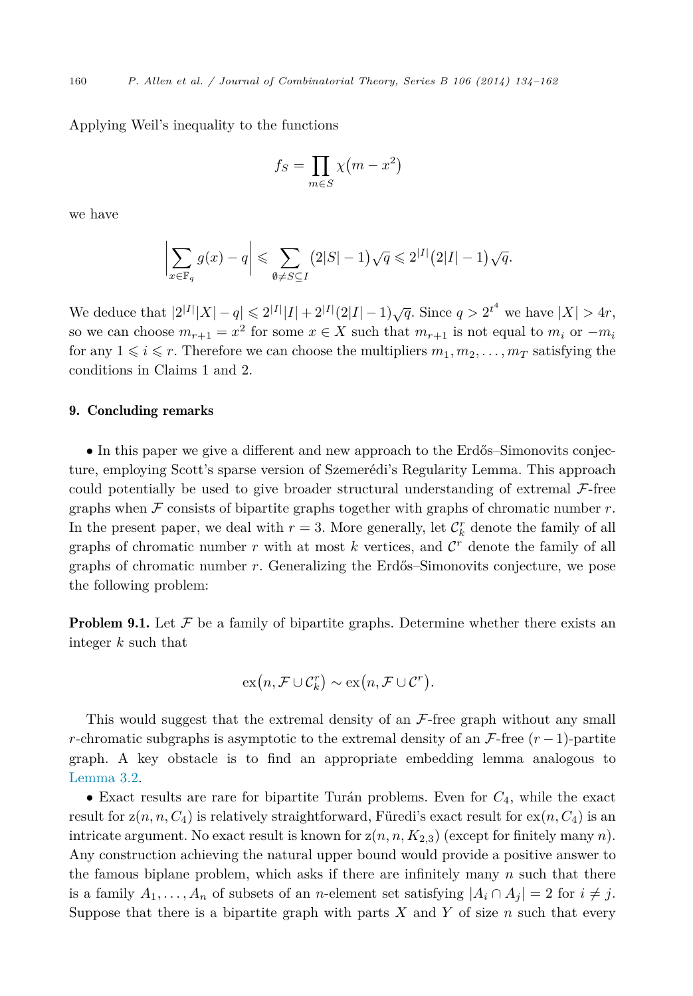Applying Weil's inequality to the functions

$$
f_S = \prod_{m \in S} \chi(m - x^2)
$$

we have

$$
\left|\sum_{x\in\mathbb{F}_q} g(x) - q\right| \leqslant \sum_{\emptyset \neq S \subseteq I} \left(2|S| - 1\right) \sqrt{q} \leqslant 2^{|I|} \left(2|I| - 1\right) \sqrt{q}.
$$

We deduce that  $|2^{|I|}|X| - q \le 2^{|I|}|I| + 2^{|I|}(2|I| - 1)\sqrt{q}$ . Since  $q > 2^{t^4}$  we have  $|X| > 4r$ , so we can choose  $m_{r+1} = x^2$  for some  $x \in X$  such that  $m_{r+1}$  is not equal to  $m_i$  or  $-m_i$ for any  $1 \leq i \leq r$ . Therefore we can choose the multipliers  $m_1, m_2, \ldots, m_T$  satisfying the conditions in Claims 1 and 2.

#### 9. Concluding remarks

• In this paper we give a different and new approach to the Erdős–Simonovits conjecture, employing Scott's sparse version of Szemerédi's Regularity Lemma. This approach could potentially be used to give broader structural understanding of extremal  $\mathcal{F}\text{-free}$ graphs when  $\mathcal F$  consists of bipartite graphs together with graphs of chromatic number  $r$ . In the present paper, we deal with  $r = 3$ . More generally, let  $\mathcal{C}_k^r$  denote the family of all graphs of chromatic number  $r$  with at most  $k$  vertices, and  $\mathcal{C}^r$  denote the family of all graphs of chromatic number *r*. Generalizing the Erdős–Simonovits conjecture, we pose the following problem:

**Problem 9.1.** Let  $\mathcal F$  be a family of bipartite graphs. Determine whether there exists an integer *k* such that

$$
\mathrm{ex}(n,\mathcal{F}\cup\mathcal{C}_k^r)\sim\mathrm{ex}(n,\mathcal{F}\cup\mathcal{C}^r).
$$

This would suggest that the extremal density of an  $\mathcal{F}\text{-free graph without any small}$ *r*-chromatic subgraphs is asymptotic to the extremal density of an  $\mathcal{F}\text{-free } (r-1)\text{-partite}$ graph. A key obstacle is to find an appropriate embedding lemma analogous to [Lemma 3.2.](#page-10-0)

• Exact results are rare for bipartite Turán problems. Even for *C*4, while the exact result for  $z(n, n, C_4)$  is relatively straightforward, Füredi's exact result for  $ex(n, C_4)$  is an intricate argument. No exact result is known for  $z(n, n, K_{2,3})$  (except for finitely many *n*). Any construction achieving the natural upper bound would provide a positive answer to the famous biplane problem, which asks if there are infinitely many *n* such that there is a family  $A_1, \ldots, A_n$  of subsets of an *n*-element set satisfying  $|A_i \cap A_j| = 2$  for  $i \neq j$ . Suppose that there is a bipartite graph with parts  $X$  and  $Y$  of size  $n$  such that every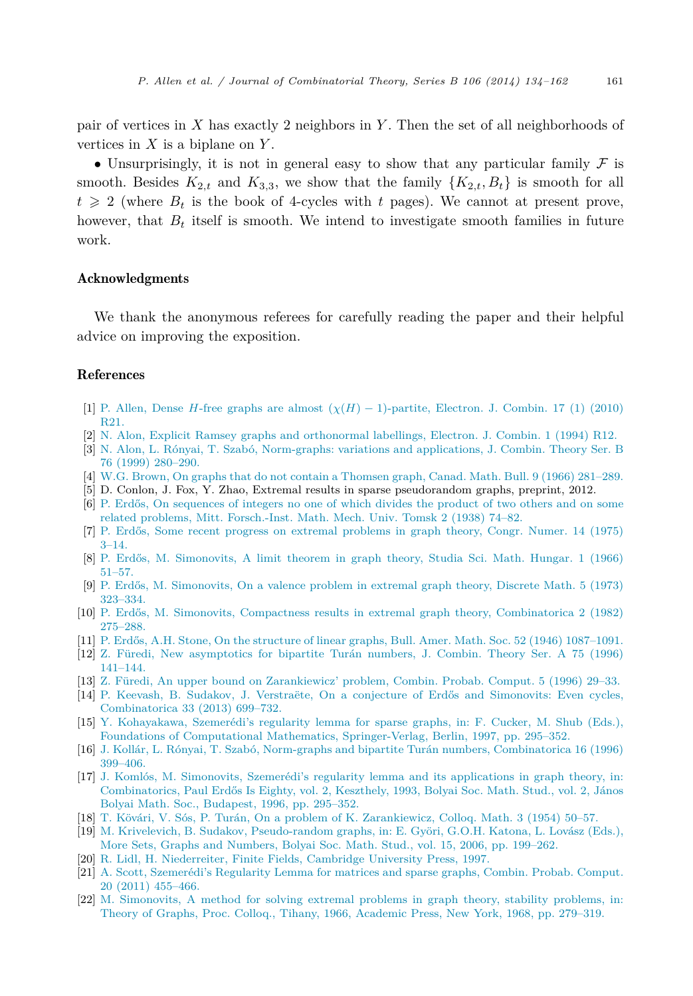<span id="page-27-0"></span>pair of vertices in *X* has exactly 2 neighbors in *Y* . Then the set of all neighborhoods of vertices in *X* is a biplane on *Y* .

• Unsurprisingly, it is not in general easy to show that any particular family  $\mathcal F$  is smooth. Besides  $K_{2,t}$  and  $K_{3,3}$ , we show that the family  $\{K_{2,t}, B_t\}$  is smooth for all  $t \geqslant 2$  (where  $B_t$  is the book of 4-cycles with  $t$  pages). We cannot at present prove, however, that  $B_t$  itself is smooth. We intend to investigate smooth families in future work.

#### Acknowledgments

We thank the anonymous referees for carefully reading the paper and their helpful advice on improving the exposition.

#### References

- [1] P. Allen, Dense *H*-free graphs are almost  $(\chi(H) 1)$ -partite, Electron. J. Combin. 17 (1) (2010) [R21.](http://refhub.elsevier.com/S0095-8956(14)00008-2/bib41455367656Es1)
- [2] N. [Alon, Explicit Ramsey graphs and orthonormal labellings, Electron. J. Combin. 1 \(1994\) R12.](http://refhub.elsevier.com/S0095-8956(14)00008-2/bib416C6F6E50736575646F426164s1)
- [3] N. [Alon, L. Rónyai, T. Szabó, Norm-graphs: variations and applications, J. Combin. Theory Ser. B](http://refhub.elsevier.com/S0095-8956(14)00008-2/bib415253s1) [76 \(1999\) 280–290.](http://refhub.elsevier.com/S0095-8956(14)00008-2/bib415253s1)
- [4] W.G. [Brown, On graphs that do not contain a Thomsen graph, Canad. Math. Bull. 9 \(1966\) 281–289.](http://refhub.elsevier.com/S0095-8956(14)00008-2/bib42s1)
- [5] D. Conlon, J. Fox, Y. Zhao, Extremal results in sparse pseudorandom graphs, preprint, 2012.
- [6] [P. Erdős, On sequences of integers no one of which divides the product of two others and on some](http://refhub.elsevier.com/S0095-8956(14)00008-2/bib4572646F7341s1) [related problems, Mitt. Forsch.-Inst. Math. Mech. Univ. Tomsk 2 \(1938\) 74–82.](http://refhub.elsevier.com/S0095-8956(14)00008-2/bib4572646F7341s1)
- [7] [P. Erdős, Some recent progress on extremal problems in graph theory, Congr. Numer. 14 \(1975\)](http://refhub.elsevier.com/S0095-8956(14)00008-2/bib4572646F7342s1) [3–14.](http://refhub.elsevier.com/S0095-8956(14)00008-2/bib4572646F7342s1)
- [8] [P. Erdős, M. Simonovits, A limit theorem in graph theory, Studia Sci. Math. Hungar. 1 \(1966\)](http://refhub.elsevier.com/S0095-8956(14)00008-2/bib45726453696D457874s1) [51–57.](http://refhub.elsevier.com/S0095-8956(14)00008-2/bib45726453696D457874s1)
- [9] [P. Erdős, M. Simonovits, On a valence problem in extremal graph theory, Discrete Math. 5 \(1973\)](http://refhub.elsevier.com/S0095-8956(14)00008-2/bib45726453696D58s1) [323–334.](http://refhub.elsevier.com/S0095-8956(14)00008-2/bib45726453696D58s1)
- [10] [P. Erdős, M. Simonovits, Compactness results in extremal graph theory, Combinatorica 2 \(1982\)](http://refhub.elsevier.com/S0095-8956(14)00008-2/bib45536931s1) [275–288.](http://refhub.elsevier.com/S0095-8956(14)00008-2/bib45536931s1)
- [11] [P. Erdős, A.H. Stone, On the structure of linear graphs, Bull. Amer. Math. Soc. 52 \(1946\) 1087–1091.](http://refhub.elsevier.com/S0095-8956(14)00008-2/bib45726453746Fs1)
- [12] Z. [Füredi, New asymptotics for bipartite Turán numbers, J. Combin. Theory Ser. A 75 \(1996\)](http://refhub.elsevier.com/S0095-8956(14)00008-2/bib4632s1) [141–144.](http://refhub.elsevier.com/S0095-8956(14)00008-2/bib4632s1)
- [13] Z. [Füredi, An upper bound on Zarankiewicz' problem, Combin. Probab. Comput. 5 \(1996\) 29–33.](http://refhub.elsevier.com/S0095-8956(14)00008-2/bib4633s1)
- [14] [P. Keevash, B. Sudakov, J. Verstraëte, On a conjecture of Erdős and Simonovits: Even cycles,](http://refhub.elsevier.com/S0095-8956(14)00008-2/bib4B5356s1) [Combinatorica 33 \(2013\) 699–732.](http://refhub.elsevier.com/S0095-8956(14)00008-2/bib4B5356s1)
- [15] Y. [Kohayakawa, Szemerédi's regularity lemma for sparse graphs, in: F. Cucker, M. Shub \(Eds.\),](http://refhub.elsevier.com/S0095-8956(14)00008-2/bib596F736869537061727365s1) [Foundations of Computational Mathematics, Springer-Verlag, Berlin, 1997, pp. 295–352.](http://refhub.elsevier.com/S0095-8956(14)00008-2/bib596F736869537061727365s1)
- [16] J. [Kollár, L. Rónyai, T. Szabó, Norm-graphs and bipartite Turán numbers, Combinatorica 16 \(1996\)](http://refhub.elsevier.com/S0095-8956(14)00008-2/bib4B5253s1) [399–406.](http://refhub.elsevier.com/S0095-8956(14)00008-2/bib4B5253s1)
- [17] J. [Komlós, M. Simonovits, Szemerédi's regularity lemma and its applications in graph theory, in:](http://refhub.elsevier.com/S0095-8956(14)00008-2/bib4B6F6D53696D537572766579s1) [Combinatorics, Paul Erdős Is Eighty, vol. 2, Keszthely, 1993, Bolyai Soc. Math. Stud., vol. 2, János](http://refhub.elsevier.com/S0095-8956(14)00008-2/bib4B6F6D53696D537572766579s1) [Bolyai Math. Soc., Budapest, 1996, pp. 295–352.](http://refhub.elsevier.com/S0095-8956(14)00008-2/bib4B6F6D53696D537572766579s1)
- [18] T. [Kövári, V. Sós, P. Turán, On a problem of K. Zarankiewicz, Colloq. Math. 3 \(1954\) 50–57.](http://refhub.elsevier.com/S0095-8956(14)00008-2/bib4B5354626F756E64s1)
- [19] M. [Krivelevich, B. Sudakov, Pseudo-random graphs, in: E. Györi, G.O.H. Katona, L. Lovász \(Eds.\),](http://refhub.elsevier.com/S0095-8956(14)00008-2/bib4B53s1) [More Sets, Graphs and Numbers, Bolyai Soc. Math. Stud., vol. 15, 2006, pp. 199–262.](http://refhub.elsevier.com/S0095-8956(14)00008-2/bib4B53s1)
- [20] R. [Lidl, H. Niederreiter, Finite Fields, Cambridge University Press, 1997.](http://refhub.elsevier.com/S0095-8956(14)00008-2/bib4C4Es1)
- [21] A. [Scott, Szemerédi's Regularity Lemma for matrices and sparse graphs, Combin. Probab. Comput.](http://refhub.elsevier.com/S0095-8956(14)00008-2/bib53636F7474537061727365s1) [20 \(2011\) 455–466.](http://refhub.elsevier.com/S0095-8956(14)00008-2/bib53636F7474537061727365s1)
- [22] M. [Simonovits, A method for solving extremal problems in graph theory, stability problems, in:](http://refhub.elsevier.com/S0095-8956(14)00008-2/bib53696D53746162s1) [Theory of Graphs, Proc. Colloq., Tihany, 1966, Academic Press, New York, 1968, pp. 279–319.](http://refhub.elsevier.com/S0095-8956(14)00008-2/bib53696D53746162s1)